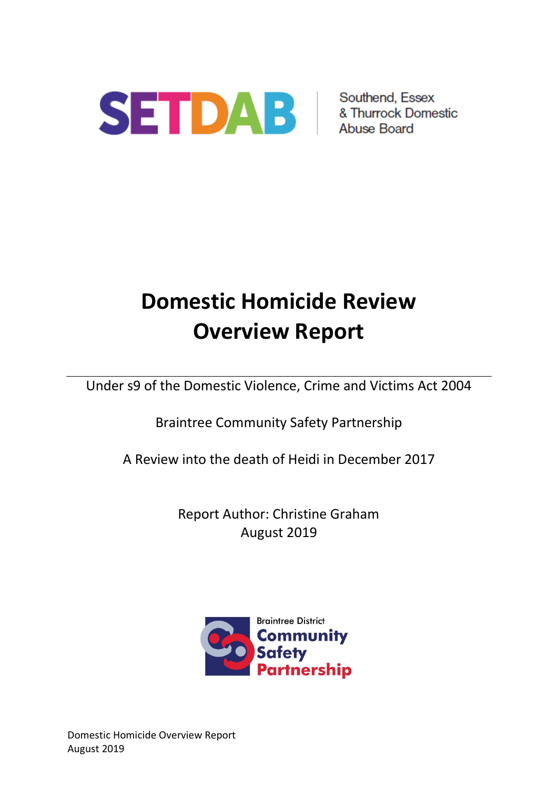

# **Domestic Homicide Review Overview Report**

Under s9 of the Domestic Violence, Crime and Victims Act 2004

Braintree Community Safety Partnership

A Review into the death of Heidi in December 2017

Report Author: Christine Graham August 2019



Domestic Homicide Overview Report August 2019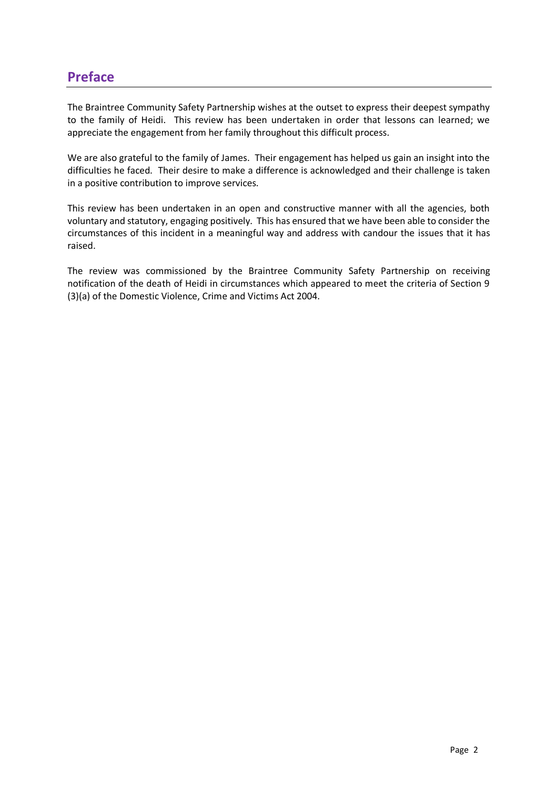# **Preface**

The Braintree Community Safety Partnership wishes at the outset to express their deepest sympathy to the family of Heidi. This review has been undertaken in order that lessons can learned; we appreciate the engagement from her family throughout this difficult process.

We are also grateful to the family of James. Their engagement has helped us gain an insight into the difficulties he faced. Their desire to make a difference is acknowledged and their challenge is taken in a positive contribution to improve services.

This review has been undertaken in an open and constructive manner with all the agencies, both voluntary and statutory, engaging positively. This has ensured that we have been able to consider the circumstances of this incident in a meaningful way and address with candour the issues that it has raised.

The review was commissioned by the Braintree Community Safety Partnership on receiving notification of the death of Heidi in circumstances which appeared to meet the criteria of Section 9 (3)(a) of the Domestic Violence, Crime and Victims Act 2004.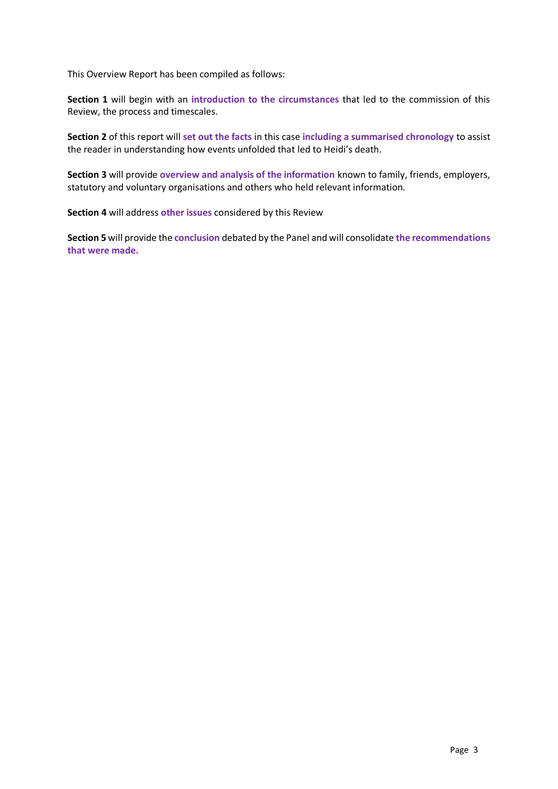This Overview Report has been compiled as follows:

**Section 1** will begin with an **introduction to the circumstances** that led to the commission of this Review, the process and timescales.

**Section 2** of this report will **set out the facts** in this case **including a summarised chronology** to assist the reader in understanding how events unfolded that led to Heidi's death.

**Section 3** will provide **overview and analysis of the information** known to family, friends, employers, statutory and voluntary organisations and others who held relevant information.

**Section 4** will address **other issues** considered by this Review

**Section 5** will provide the **conclusion** debated by the Panel and will consolidate **the recommendations that were made.**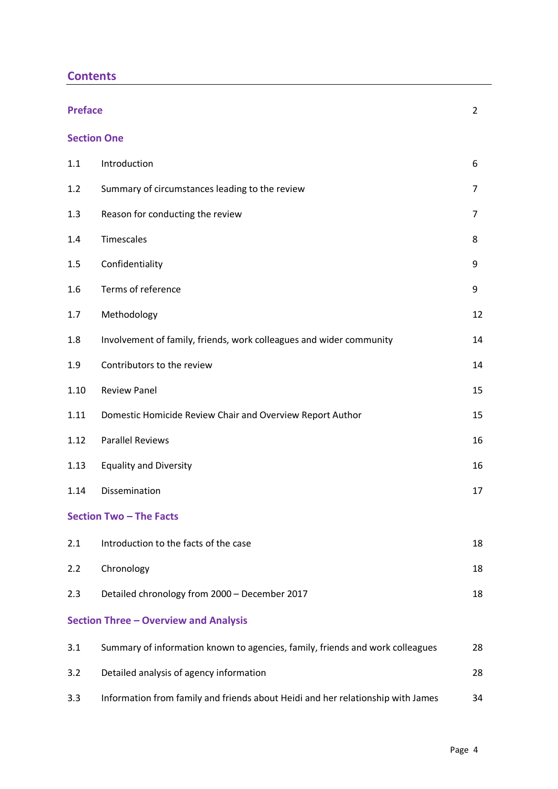| <b>Contents</b> |
|-----------------|
|-----------------|

|                                | <b>Preface</b><br>$\overline{2}$                                                |                |  |  |  |
|--------------------------------|---------------------------------------------------------------------------------|----------------|--|--|--|
| <b>Section One</b>             |                                                                                 |                |  |  |  |
| 1.1                            | Introduction                                                                    | 6              |  |  |  |
| 1.2                            | Summary of circumstances leading to the review                                  | $\overline{7}$ |  |  |  |
| 1.3                            | Reason for conducting the review                                                | $\overline{7}$ |  |  |  |
| 1.4                            | Timescales                                                                      | 8              |  |  |  |
| 1.5                            | Confidentiality                                                                 | 9              |  |  |  |
| 1.6                            | Terms of reference                                                              | 9              |  |  |  |
| 1.7                            | Methodology                                                                     | 12             |  |  |  |
| 1.8                            | Involvement of family, friends, work colleagues and wider community             | 14             |  |  |  |
| 1.9                            | Contributors to the review                                                      | 14             |  |  |  |
| 1.10                           | <b>Review Panel</b>                                                             | 15             |  |  |  |
| 1.11                           | Domestic Homicide Review Chair and Overview Report Author                       | 15             |  |  |  |
| 1.12                           | <b>Parallel Reviews</b>                                                         | 16             |  |  |  |
| 1.13                           | <b>Equality and Diversity</b>                                                   | 16             |  |  |  |
| 1.14                           | Dissemination                                                                   | 17             |  |  |  |
| <b>Section Two - The Facts</b> |                                                                                 |                |  |  |  |
| 2.1                            | Introduction to the facts of the case                                           | 18             |  |  |  |
| 2.2                            | Chronology                                                                      | 18             |  |  |  |
| 2.3                            | Detailed chronology from 2000 - December 2017                                   | 18             |  |  |  |
|                                | <b>Section Three - Overview and Analysis</b>                                    |                |  |  |  |
| 3.1                            | Summary of information known to agencies, family, friends and work colleagues   | 28             |  |  |  |
| 3.2                            | Detailed analysis of agency information                                         | 28             |  |  |  |
| 3.3                            | Information from family and friends about Heidi and her relationship with James | 34             |  |  |  |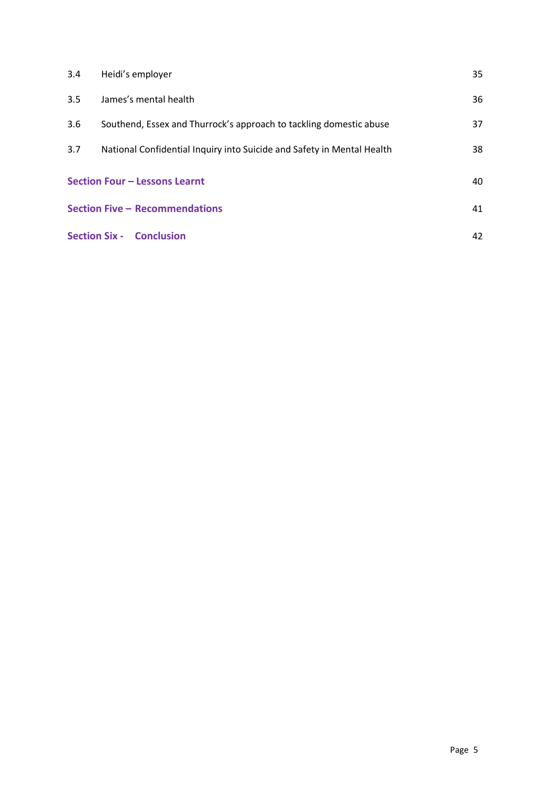| 3.4                                 | Heidi's employer                                                       | 35 |  |
|-------------------------------------|------------------------------------------------------------------------|----|--|
| 3.5                                 | James's mental health                                                  | 36 |  |
| 3.6                                 | Southend, Essex and Thurrock's approach to tackling domestic abuse     | 37 |  |
| 3.7                                 | National Confidential Inquiry into Suicide and Safety in Mental Health | 38 |  |
| Section Four - Lessons Learnt<br>40 |                                                                        |    |  |
|                                     | <b>Section Five - Recommendations</b>                                  |    |  |
|                                     | <b>Section Six - Conclusion</b>                                        | 42 |  |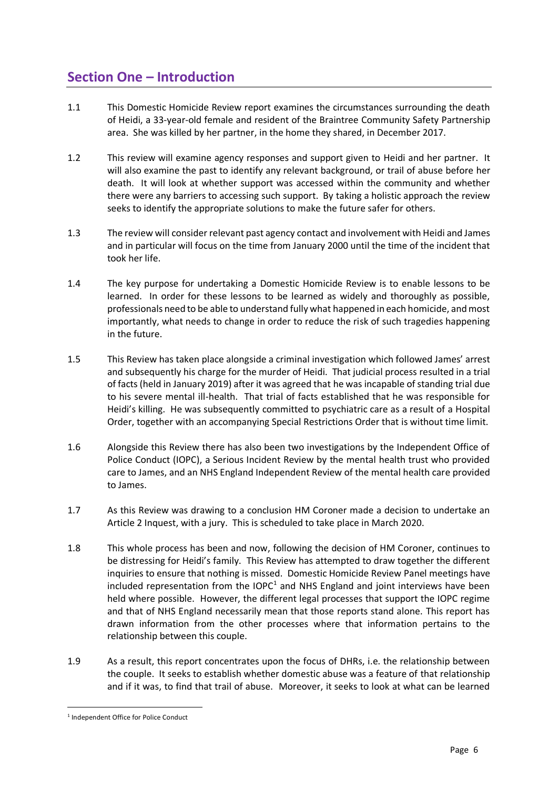# **Section One – Introduction**

- 1.1 This Domestic Homicide Review report examines the circumstances surrounding the death of Heidi, a 33-year-old female and resident of the Braintree Community Safety Partnership area. She was killed by her partner, in the home they shared, in December 2017.
- 1.2 This review will examine agency responses and support given to Heidi and her partner. It will also examine the past to identify any relevant background, or trail of abuse before her death. It will look at whether support was accessed within the community and whether there were any barriers to accessing such support. By taking a holistic approach the review seeks to identify the appropriate solutions to make the future safer for others.
- 1.3 The review will consider relevant past agency contact and involvement with Heidi and James and in particular will focus on the time from January 2000 until the time of the incident that took her life.
- 1.4 The key purpose for undertaking a Domestic Homicide Review is to enable lessons to be learned. In order for these lessons to be learned as widely and thoroughly as possible, professionals need to be able to understand fully what happened in each homicide, and most importantly, what needs to change in order to reduce the risk of such tragedies happening in the future.
- 1.5 This Review has taken place alongside a criminal investigation which followed James' arrest and subsequently his charge for the murder of Heidi. That judicial process resulted in a trial of facts (held in January 2019) after it was agreed that he was incapable of standing trial due to his severe mental ill-health. That trial of facts established that he was responsible for Heidi's killing. He was subsequently committed to psychiatric care as a result of a Hospital Order, together with an accompanying Special Restrictions Order that is without time limit.
- 1.6 Alongside this Review there has also been two investigations by the Independent Office of Police Conduct (IOPC), a Serious Incident Review by the mental health trust who provided care to James, and an NHS England Independent Review of the mental health care provided to James.
- 1.7 As this Review was drawing to a conclusion HM Coroner made a decision to undertake an Article 2 Inquest, with a jury. This is scheduled to take place in March 2020.
- 1.8 This whole process has been and now, following the decision of HM Coroner, continues to be distressing for Heidi's family. This Review has attempted to draw together the different inquiries to ensure that nothing is missed. Domestic Homicide Review Panel meetings have included representation from the IOPC<sup>1</sup> and NHS England and joint interviews have been held where possible. However, the different legal processes that support the IOPC regime and that of NHS England necessarily mean that those reports stand alone. This report has drawn information from the other processes where that information pertains to the relationship between this couple.
- 1.9 As a result, this report concentrates upon the focus of DHRs, i.e. the relationship between the couple. It seeks to establish whether domestic abuse was a feature of that relationship and if it was, to find that trail of abuse. Moreover, it seeks to look at what can be learned

<sup>1</sup> Independent Office for Police Conduct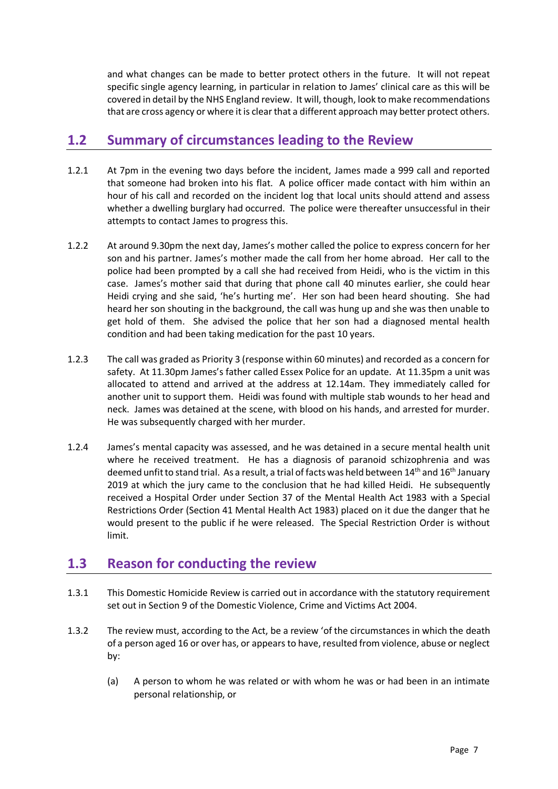and what changes can be made to better protect others in the future. It will not repeat specific single agency learning, in particular in relation to James' clinical care as this will be covered in detail by the NHS England review. It will, though, look to make recommendations that are cross agency or where it is clear that a different approach may better protect others.

# **1.2 Summary of circumstances leading to the Review**

- 1.2.1 At 7pm in the evening two days before the incident, James made a 999 call and reported that someone had broken into his flat. A police officer made contact with him within an hour of his call and recorded on the incident log that local units should attend and assess whether a dwelling burglary had occurred. The police were thereafter unsuccessful in their attempts to contact James to progress this.
- 1.2.2 At around 9.30pm the next day, James's mother called the police to express concern for her son and his partner. James's mother made the call from her home abroad. Her call to the police had been prompted by a call she had received from Heidi, who is the victim in this case. James's mother said that during that phone call 40 minutes earlier, she could hear Heidi crying and she said, 'he's hurting me'. Her son had been heard shouting. She had heard her son shouting in the background, the call was hung up and she was then unable to get hold of them. She advised the police that her son had a diagnosed mental health condition and had been taking medication for the past 10 years.
- 1.2.3 The call was graded as Priority 3 (response within 60 minutes) and recorded as a concern for safety. At 11.30pm James's father called Essex Police for an update. At 11.35pm a unit was allocated to attend and arrived at the address at 12.14am. They immediately called for another unit to support them. Heidi was found with multiple stab wounds to her head and neck. James was detained at the scene, with blood on his hands, and arrested for murder. He was subsequently charged with her murder.
- 1.2.4 James's mental capacity was assessed, and he was detained in a secure mental health unit where he received treatment. He has a diagnosis of paranoid schizophrenia and was deemed unfit to stand trial. As a result, a trial of facts was held between 14<sup>th</sup> and 16<sup>th</sup> January 2019 at which the jury came to the conclusion that he had killed Heidi. He subsequently received a Hospital Order under Section 37 of the Mental Health Act 1983 with a Special Restrictions Order (Section 41 Mental Health Act 1983) placed on it due the danger that he would present to the public if he were released. The Special Restriction Order is without limit.

# **1.3 Reason for conducting the review**

- 1.3.1 This Domestic Homicide Review is carried out in accordance with the statutory requirement set out in Section 9 of the Domestic Violence, Crime and Victims Act 2004.
- 1.3.2 The review must, according to the Act, be a review 'of the circumstances in which the death of a person aged 16 or over has, or appears to have, resulted from violence, abuse or neglect by:
	- (a) A person to whom he was related or with whom he was or had been in an intimate personal relationship, or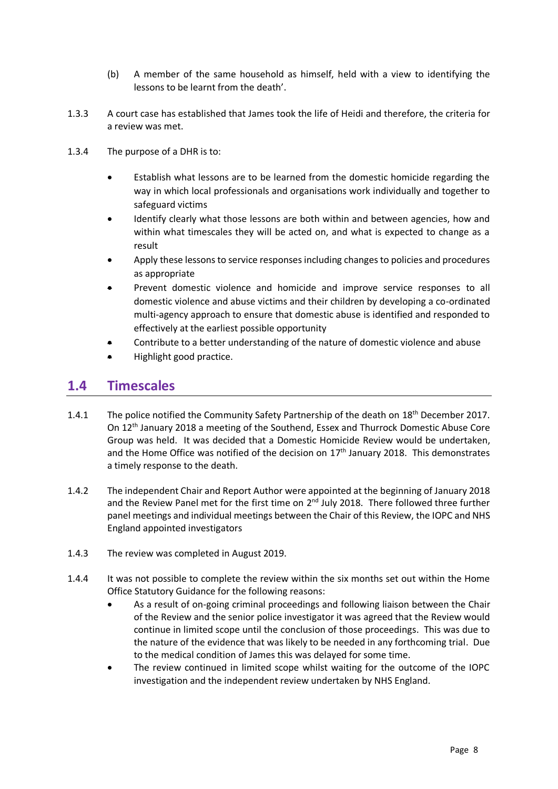- (b) A member of the same household as himself, held with a view to identifying the lessons to be learnt from the death'.
- 1.3.3 A court case has established that James took the life of Heidi and therefore, the criteria for a review was met.
- 1.3.4 The purpose of a DHR is to:
	- Establish what lessons are to be learned from the domestic homicide regarding the way in which local professionals and organisations work individually and together to safeguard victims
	- Identify clearly what those lessons are both within and between agencies, how and within what timescales they will be acted on, and what is expected to change as a result
	- Apply these lessons to service responses including changes to policies and procedures as appropriate
	- Prevent domestic violence and homicide and improve service responses to all domestic violence and abuse victims and their children by developing a co-ordinated multi-agency approach to ensure that domestic abuse is identified and responded to effectively at the earliest possible opportunity
	- Contribute to a better understanding of the nature of domestic violence and abuse
	- Highlight good practice.

### **1.4 Timescales**

- 1.4.1 The police notified the Community Safety Partnership of the death on 18<sup>th</sup> December 2017. On 12th January 2018 a meeting of the Southend, Essex and Thurrock Domestic Abuse Core Group was held. It was decided that a Domestic Homicide Review would be undertaken, and the Home Office was notified of the decision on  $17<sup>th</sup>$  January 2018. This demonstrates a timely response to the death.
- 1.4.2 The independent Chair and Report Author were appointed at the beginning of January 2018 and the Review Panel met for the first time on 2<sup>nd</sup> July 2018. There followed three further panel meetings and individual meetings between the Chair of this Review, the IOPC and NHS England appointed investigators
- 1.4.3 The review was completed in August 2019.
- 1.4.4 It was not possible to complete the review within the six months set out within the Home Office Statutory Guidance for the following reasons:
	- As a result of on-going criminal proceedings and following liaison between the Chair of the Review and the senior police investigator it was agreed that the Review would continue in limited scope until the conclusion of those proceedings. This was due to the nature of the evidence that was likely to be needed in any forthcoming trial. Due to the medical condition of James this was delayed for some time.
	- The review continued in limited scope whilst waiting for the outcome of the IOPC investigation and the independent review undertaken by NHS England.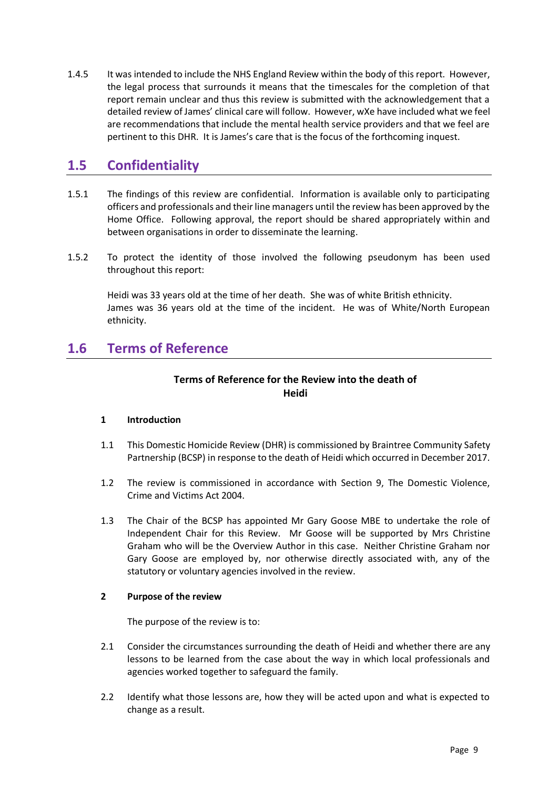1.4.5 It was intended to include the NHS England Review within the body of this report. However, the legal process that surrounds it means that the timescales for the completion of that report remain unclear and thus this review is submitted with the acknowledgement that a detailed review of James' clinical care will follow. However, wXe have included what we feel are recommendations that include the mental health service providers and that we feel are pertinent to this DHR. It is James's care that is the focus of the forthcoming inquest.

# **1.5 Confidentiality**

- 1.5.1 The findings of this review are confidential. Information is available only to participating officers and professionals and their line managers until the review has been approved by the Home Office. Following approval, the report should be shared appropriately within and between organisations in order to disseminate the learning.
- 1.5.2 To protect the identity of those involved the following pseudonym has been used throughout this report:

Heidi was 33 years old at the time of her death. She was of white British ethnicity. James was 36 years old at the time of the incident. He was of White/North European ethnicity.

# **1.6 Terms of Reference**

### **Terms of Reference for the Review into the death of Heidi**

#### **1 Introduction**

- 1.1 This Domestic Homicide Review (DHR) is commissioned by Braintree Community Safety Partnership (BCSP) in response to the death of Heidi which occurred in December 2017.
- 1.2 The review is commissioned in accordance with Section 9, The Domestic Violence, Crime and Victims Act 2004.
- 1.3 The Chair of the BCSP has appointed Mr Gary Goose MBE to undertake the role of Independent Chair for this Review. Mr Goose will be supported by Mrs Christine Graham who will be the Overview Author in this case. Neither Christine Graham nor Gary Goose are employed by, nor otherwise directly associated with, any of the statutory or voluntary agencies involved in the review.

#### **2 Purpose of the review**

The purpose of the review is to:

- 2.1 Consider the circumstances surrounding the death of Heidi and whether there are any lessons to be learned from the case about the way in which local professionals and agencies worked together to safeguard the family.
- 2.2 Identify what those lessons are, how they will be acted upon and what is expected to change as a result.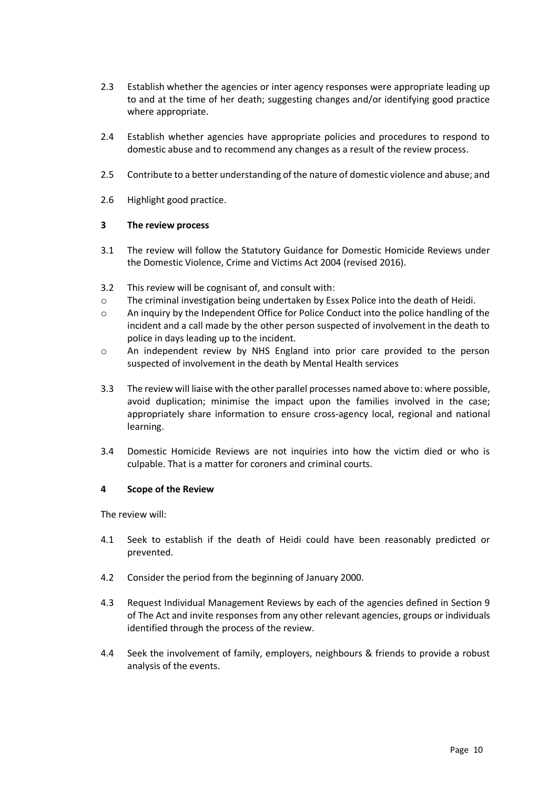- 2.3 Establish whether the agencies or inter agency responses were appropriate leading up to and at the time of her death; suggesting changes and/or identifying good practice where appropriate.
- 2.4 Establish whether agencies have appropriate policies and procedures to respond to domestic abuse and to recommend any changes as a result of the review process.
- 2.5 Contribute to a better understanding of the nature of domestic violence and abuse; and
- 2.6 Highlight good practice.

#### **3 The review process**

- 3.1 The review will follow the Statutory Guidance for Domestic Homicide Reviews under the Domestic Violence, Crime and Victims Act 2004 (revised 2016).
- 3.2 This review will be cognisant of, and consult with:
- o The criminal investigation being undertaken by Essex Police into the death of Heidi.
- o An inquiry by the Independent Office for Police Conduct into the police handling of the incident and a call made by the other person suspected of involvement in the death to police in days leading up to the incident.
- o An independent review by NHS England into prior care provided to the person suspected of involvement in the death by Mental Health services
- 3.3 The review will liaise with the other parallel processes named above to: where possible, avoid duplication; minimise the impact upon the families involved in the case; appropriately share information to ensure cross-agency local, regional and national learning.
- 3.4 Domestic Homicide Reviews are not inquiries into how the victim died or who is culpable. That is a matter for coroners and criminal courts.

#### **4 Scope of the Review**

The review will:

- 4.1 Seek to establish if the death of Heidi could have been reasonably predicted or prevented.
- 4.2 Consider the period from the beginning of January 2000.
- 4.3 Request Individual Management Reviews by each of the agencies defined in Section 9 of The Act and invite responses from any other relevant agencies, groups or individuals identified through the process of the review.
- 4.4 Seek the involvement of family, employers, neighbours & friends to provide a robust analysis of the events.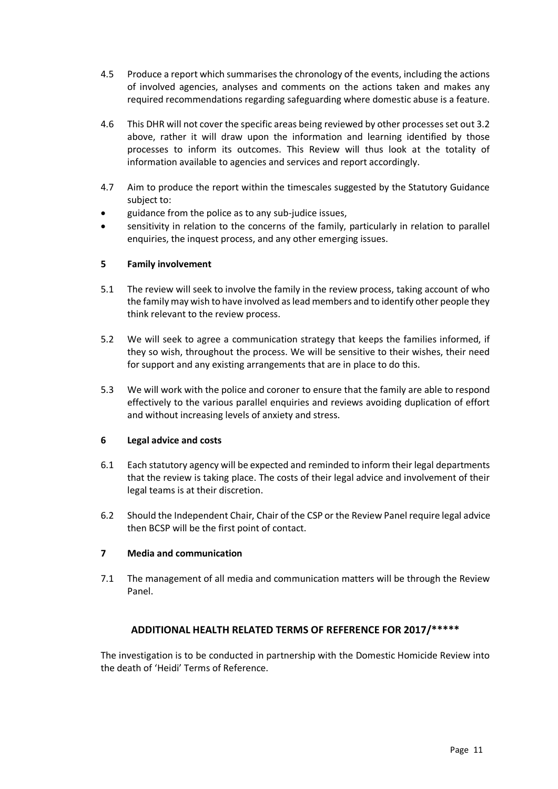- 4.5 Produce a report which summarises the chronology of the events, including the actions of involved agencies, analyses and comments on the actions taken and makes any required recommendations regarding safeguarding where domestic abuse is a feature.
- 4.6 This DHR will not cover the specific areas being reviewed by other processes set out 3.2 above, rather it will draw upon the information and learning identified by those processes to inform its outcomes. This Review will thus look at the totality of information available to agencies and services and report accordingly.
- 4.7 Aim to produce the report within the timescales suggested by the Statutory Guidance subject to:
- guidance from the police as to any sub-judice issues,
- sensitivity in relation to the concerns of the family, particularly in relation to parallel enquiries, the inquest process, and any other emerging issues.

#### **5 Family involvement**

- 5.1 The review will seek to involve the family in the review process, taking account of who the family may wish to have involved as lead members and to identify other people they think relevant to the review process.
- 5.2 We will seek to agree a communication strategy that keeps the families informed, if they so wish, throughout the process. We will be sensitive to their wishes, their need for support and any existing arrangements that are in place to do this.
- 5.3 We will work with the police and coroner to ensure that the family are able to respond effectively to the various parallel enquiries and reviews avoiding duplication of effort and without increasing levels of anxiety and stress.

#### **6 Legal advice and costs**

- 6.1 Each statutory agency will be expected and reminded to inform their legal departments that the review is taking place. The costs of their legal advice and involvement of their legal teams is at their discretion.
- 6.2 Should the Independent Chair, Chair of the CSP or the Review Panel require legal advice then BCSP will be the first point of contact.

#### **7 Media and communication**

7.1 The management of all media and communication matters will be through the Review Panel.

#### **ADDITIONAL HEALTH RELATED TERMS OF REFERENCE FOR 2017/\*\*\*\*\***

The investigation is to be conducted in partnership with the Domestic Homicide Review into the death of 'Heidi' Terms of Reference.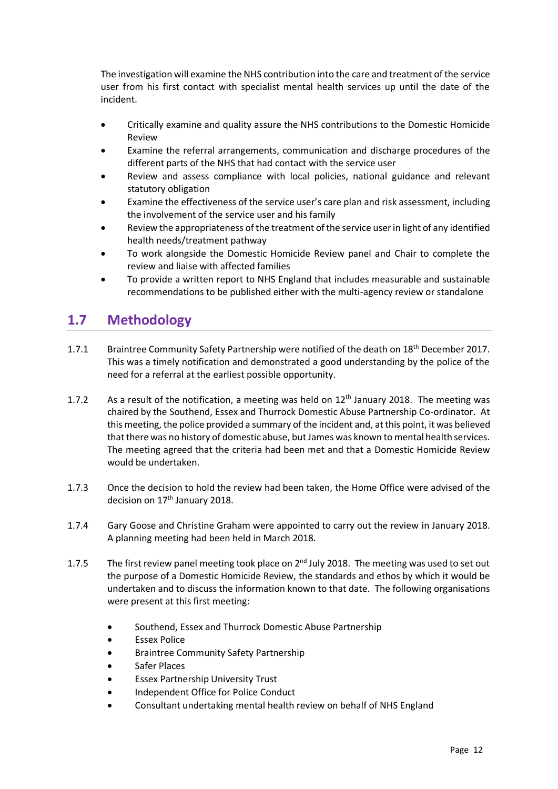The investigation will examine the NHS contribution into the care and treatment of the service user from his first contact with specialist mental health services up until the date of the incident.

- Critically examine and quality assure the NHS contributions to the Domestic Homicide Review
- Examine the referral arrangements, communication and discharge procedures of the different parts of the NHS that had contact with the service user
- Review and assess compliance with local policies, national guidance and relevant statutory obligation
- Examine the effectiveness of the service user's care plan and risk assessment, including the involvement of the service user and his family
- Review the appropriateness of the treatment of the service user in light of any identified health needs/treatment pathway
- To work alongside the Domestic Homicide Review panel and Chair to complete the review and liaise with affected families
- To provide a written report to NHS England that includes measurable and sustainable recommendations to be published either with the multi-agency review or standalone

# **1.7 Methodology**

- 1.7.1 Braintree Community Safety Partnership were notified of the death on 18th December 2017. This was a timely notification and demonstrated a good understanding by the police of the need for a referral at the earliest possible opportunity.
- 1.7.2 As a result of the notification, a meeting was held on  $12<sup>th</sup>$  January 2018. The meeting was chaired by the Southend, Essex and Thurrock Domestic Abuse Partnership Co-ordinator. At this meeting, the police provided a summary of the incident and, at this point, it was believed that there was no history of domestic abuse, but James was known to mental health services. The meeting agreed that the criteria had been met and that a Domestic Homicide Review would be undertaken.
- 1.7.3 Once the decision to hold the review had been taken, the Home Office were advised of the decision on 17<sup>th</sup> January 2018.
- 1.7.4 Gary Goose and Christine Graham were appointed to carry out the review in January 2018. A planning meeting had been held in March 2018.
- 1.7.5 The first review panel meeting took place on  $2^{nd}$  July 2018. The meeting was used to set out the purpose of a Domestic Homicide Review, the standards and ethos by which it would be undertaken and to discuss the information known to that date. The following organisations were present at this first meeting:
	- Southend, Essex and Thurrock Domestic Abuse Partnership
	- **Essex Police**
	- Braintree Community Safety Partnership
	- Safer Places
	- Essex Partnership University Trust
	- Independent Office for Police Conduct
	- Consultant undertaking mental health review on behalf of NHS England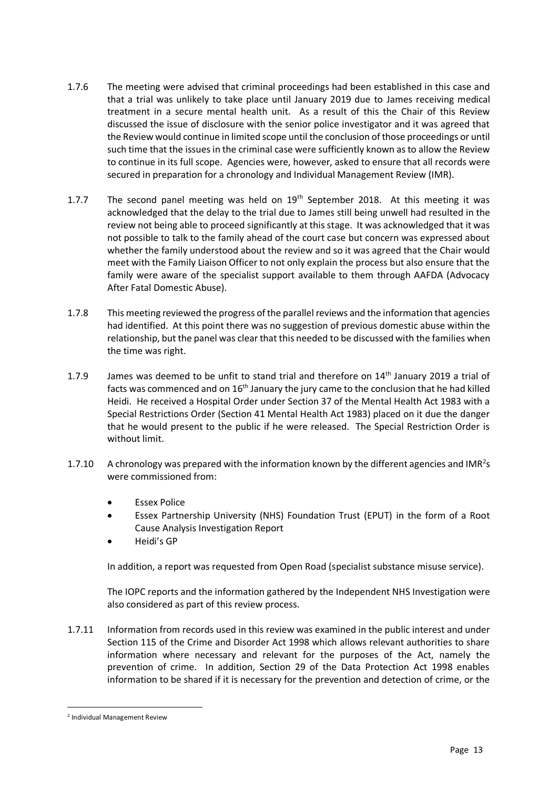- 1.7.6 The meeting were advised that criminal proceedings had been established in this case and that a trial was unlikely to take place until January 2019 due to James receiving medical treatment in a secure mental health unit. As a result of this the Chair of this Review discussed the issue of disclosure with the senior police investigator and it was agreed that the Review would continue in limited scope until the conclusion of those proceedings or until such time that the issues in the criminal case were sufficiently known as to allow the Review to continue in its full scope. Agencies were, however, asked to ensure that all records were secured in preparation for a chronology and Individual Management Review (IMR).
- 1.7.7 The second panel meeting was held on  $19<sup>th</sup>$  September 2018. At this meeting it was acknowledged that the delay to the trial due to James still being unwell had resulted in the review not being able to proceed significantly at this stage. It was acknowledged that it was not possible to talk to the family ahead of the court case but concern was expressed about whether the family understood about the review and so it was agreed that the Chair would meet with the Family Liaison Officer to not only explain the process but also ensure that the family were aware of the specialist support available to them through AAFDA (Advocacy After Fatal Domestic Abuse).
- 1.7.8 This meeting reviewed the progress of the parallel reviews and the information that agencies had identified. At this point there was no suggestion of previous domestic abuse within the relationship, but the panel was clear that this needed to be discussed with the families when the time was right.
- 1.7.9 James was deemed to be unfit to stand trial and therefore on 14<sup>th</sup> January 2019 a trial of facts was commenced and on  $16<sup>th</sup>$  January the jury came to the conclusion that he had killed Heidi. He received a Hospital Order under Section 37 of the Mental Health Act 1983 with a Special Restrictions Order (Section 41 Mental Health Act 1983) placed on it due the danger that he would present to the public if he were released. The Special Restriction Order is without limit.
- 1.7.10 A chronology was prepared with the information known by the different agencies and IMR<sup>2</sup>s were commissioned from:
	- **Essex Police**
	- Essex Partnership University (NHS) Foundation Trust (EPUT) in the form of a Root Cause Analysis Investigation Report
	- Heidi's GP

In addition, a report was requested from Open Road (specialist substance misuse service).

The IOPC reports and the information gathered by the Independent NHS Investigation were also considered as part of this review process.

1.7.11 Information from records used in this review was examined in the public interest and under Section 115 of the Crime and Disorder Act 1998 which allows relevant authorities to share information where necessary and relevant for the purposes of the Act, namely the prevention of crime. In addition, Section 29 of the Data Protection Act 1998 enables information to be shared if it is necessary for the prevention and detection of crime, or the

<sup>2</sup> Individual Management Review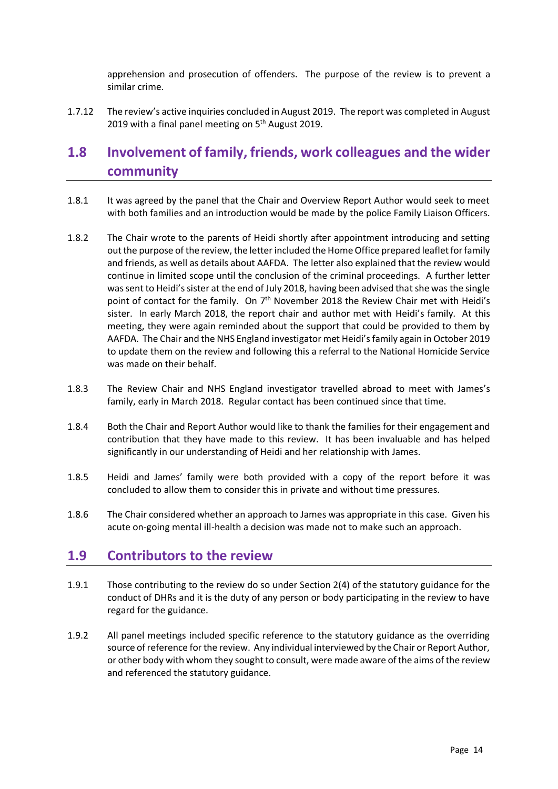apprehension and prosecution of offenders. The purpose of the review is to prevent a similar crime.

1.7.12 The review's active inquiries concluded in August 2019. The report was completed in August 2019 with a final panel meeting on 5<sup>th</sup> August 2019.

# **1.8 Involvement of family, friends, work colleagues and the wider community**

- 1.8.1 It was agreed by the panel that the Chair and Overview Report Author would seek to meet with both families and an introduction would be made by the police Family Liaison Officers.
- 1.8.2 The Chair wrote to the parents of Heidi shortly after appointment introducing and setting out the purpose of the review, the letter included the Home Office prepared leaflet for family and friends, as well as details about AAFDA. The letter also explained that the review would continue in limited scope until the conclusion of the criminal proceedings. A further letter was sent to Heidi's sister at the end of July 2018, having been advised that she was the single point of contact for the family. On 7<sup>th</sup> November 2018 the Review Chair met with Heidi's sister. In early March 2018, the report chair and author met with Heidi's family. At this meeting, they were again reminded about the support that could be provided to them by AAFDA. The Chair and the NHS England investigator met Heidi's family again in October 2019 to update them on the review and following this a referral to the National Homicide Service was made on their behalf.
- 1.8.3 The Review Chair and NHS England investigator travelled abroad to meet with James's family, early in March 2018. Regular contact has been continued since that time.
- 1.8.4 Both the Chair and Report Author would like to thank the families for their engagement and contribution that they have made to this review. It has been invaluable and has helped significantly in our understanding of Heidi and her relationship with James.
- 1.8.5 Heidi and James' family were both provided with a copy of the report before it was concluded to allow them to consider this in private and without time pressures.
- 1.8.6 The Chair considered whether an approach to James was appropriate in this case. Given his acute on-going mental ill-health a decision was made not to make such an approach.

## **1.9 Contributors to the review**

- 1.9.1 Those contributing to the review do so under Section 2(4) of the statutory guidance for the conduct of DHRs and it is the duty of any person or body participating in the review to have regard for the guidance.
- 1.9.2 All panel meetings included specific reference to the statutory guidance as the overriding source of reference for the review. Any individual interviewed by the Chair or Report Author, or other body with whom they sought to consult, were made aware of the aims of the review and referenced the statutory guidance.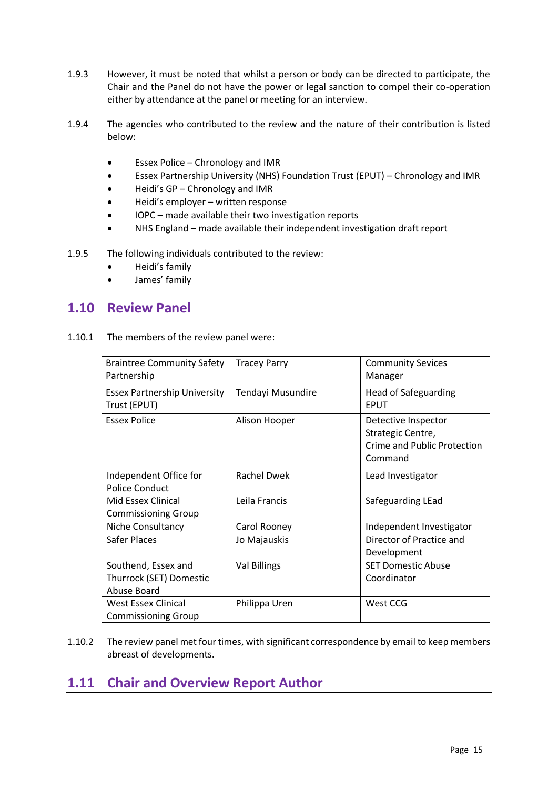- 1.9.3 However, it must be noted that whilst a person or body can be directed to participate, the Chair and the Panel do not have the power or legal sanction to compel their co-operation either by attendance at the panel or meeting for an interview.
- 1.9.4 The agencies who contributed to the review and the nature of their contribution is listed below:
	- Essex Police Chronology and IMR
	- Essex Partnership University (NHS) Foundation Trust (EPUT) Chronology and IMR
	- Heidi's GP Chronology and IMR
	- Heidi's employer written response
	- IOPC made available their two investigation reports
	- NHS England made available their independent investigation draft report
- 1.9.5 The following individuals contributed to the review:
	- Heidi's family
	- James' family

### **1.10 Review Panel**

| 1.10.1 | The members of the review panel were: |  |
|--------|---------------------------------------|--|
|--------|---------------------------------------|--|

| <b>Braintree Community Safety</b><br>Partnership              | <b>Tracey Parry</b> | <b>Community Sevices</b><br>Manager                                                       |
|---------------------------------------------------------------|---------------------|-------------------------------------------------------------------------------------------|
| <b>Essex Partnership University</b><br>Trust (EPUT)           | Tendayi Musundire   | <b>Head of Safeguarding</b><br><b>EPUT</b>                                                |
| <b>Essex Police</b>                                           | Alison Hooper       | Detective Inspector<br>Strategic Centre,<br><b>Crime and Public Protection</b><br>Command |
| Independent Office for<br><b>Police Conduct</b>               | <b>Rachel Dwek</b>  | Lead Investigator                                                                         |
| Mid Essex Clinical<br><b>Commissioning Group</b>              | Leila Francis       | Safeguarding LEad                                                                         |
| Niche Consultancy                                             | Carol Rooney        | Independent Investigator                                                                  |
| Safer Places                                                  | Jo Majauskis        | Director of Practice and<br>Development                                                   |
| Southend, Essex and<br>Thurrock (SET) Domestic<br>Abuse Board | Val Billings        | <b>SET Domestic Abuse</b><br>Coordinator                                                  |
| West Essex Clinical<br><b>Commissioning Group</b>             | Philippa Uren       | West CCG                                                                                  |

1.10.2 The review panel met four times, with significant correspondence by email to keep members abreast of developments.

# **1.11 Chair and Overview Report Author**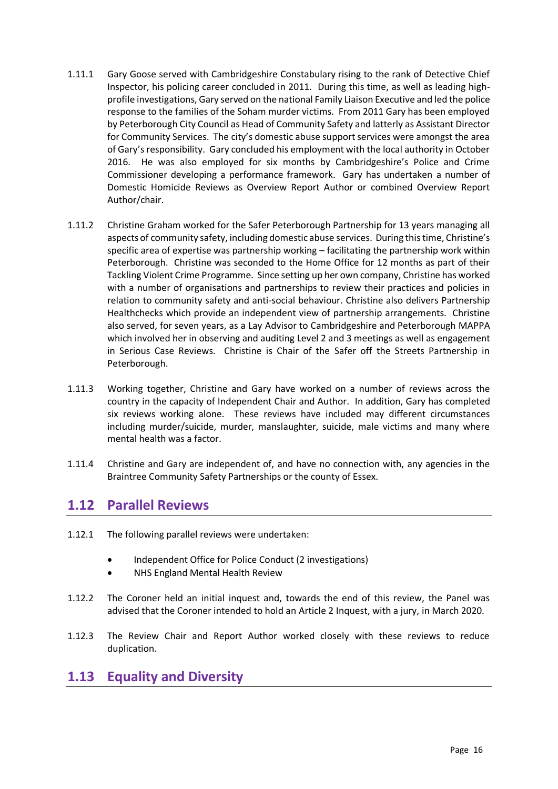- 1.11.1 Gary Goose served with Cambridgeshire Constabulary rising to the rank of Detective Chief Inspector, his policing career concluded in 2011. During this time, as well as leading highprofile investigations, Gary served on the national Family Liaison Executive and led the police response to the families of the Soham murder victims. From 2011 Gary has been employed by Peterborough City Council as Head of Community Safety and latterly as Assistant Director for Community Services. The city's domestic abuse support services were amongst the area of Gary's responsibility. Gary concluded his employment with the local authority in October 2016. He was also employed for six months by Cambridgeshire's Police and Crime Commissioner developing a performance framework. Gary has undertaken a number of Domestic Homicide Reviews as Overview Report Author or combined Overview Report Author/chair.
- 1.11.2 Christine Graham worked for the Safer Peterborough Partnership for 13 years managing all aspects of community safety, including domestic abuse services. During this time, Christine's specific area of expertise was partnership working – facilitating the partnership work within Peterborough. Christine was seconded to the Home Office for 12 months as part of their Tackling Violent Crime Programme. Since setting up her own company, Christine has worked with a number of organisations and partnerships to review their practices and policies in relation to community safety and anti-social behaviour. Christine also delivers Partnership Healthchecks which provide an independent view of partnership arrangements. Christine also served, for seven years, as a Lay Advisor to Cambridgeshire and Peterborough MAPPA which involved her in observing and auditing Level 2 and 3 meetings as well as engagement in Serious Case Reviews. Christine is Chair of the Safer off the Streets Partnership in Peterborough.
- 1.11.3 Working together, Christine and Gary have worked on a number of reviews across the country in the capacity of Independent Chair and Author. In addition, Gary has completed six reviews working alone. These reviews have included may different circumstances including murder/suicide, murder, manslaughter, suicide, male victims and many where mental health was a factor.
- 1.11.4 Christine and Gary are independent of, and have no connection with, any agencies in the Braintree Community Safety Partnerships or the county of Essex.

## **1.12 Parallel Reviews**

- 1.12.1 The following parallel reviews were undertaken:
	- Independent Office for Police Conduct (2 investigations)
	- NHS England Mental Health Review
- 1.12.2 The Coroner held an initial inquest and, towards the end of this review, the Panel was advised that the Coroner intended to hold an Article 2 Inquest, with a jury, in March 2020.
- 1.12.3 The Review Chair and Report Author worked closely with these reviews to reduce duplication.

## **1.13 Equality and Diversity**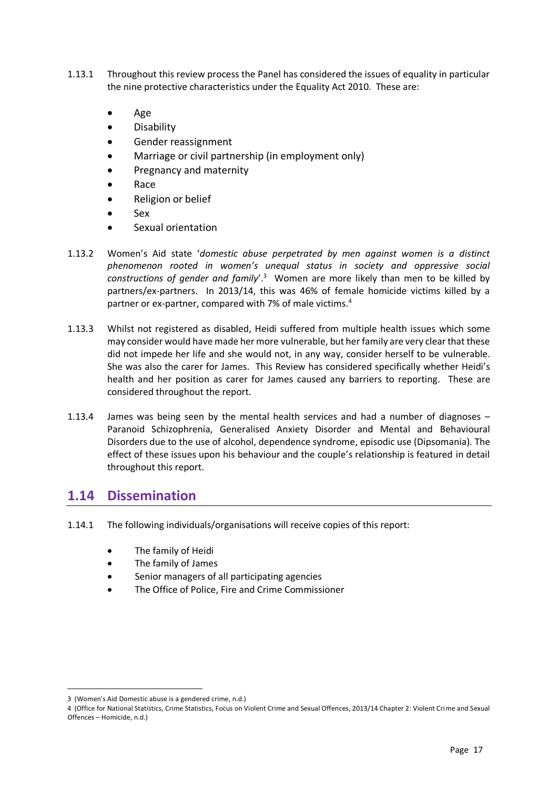- 1.13.1 Throughout this review process the Panel has considered the issues of equality in particular the nine protective characteristics under the Equality Act 2010. These are:
	- Age
	- Disability
	- Gender reassignment
	- Marriage or civil partnership (in employment only)
	- Pregnancy and maternity
	- Race
	- Religion or belief
	- Sex
	- Sexual orientation
- 1.13.2 Women's Aid state '*domestic abuse perpetrated by men against women is a distinct phenomenon rooted in women's unequal status in society and oppressive social*  constructions of gender and family'.<sup>3</sup> Women are more likely than men to be killed by partners/ex-partners. In 2013/14, this was 46% of female homicide victims killed by a partner or ex-partner, compared with 7% of male victims.<sup>4</sup>
- 1.13.3 Whilst not registered as disabled, Heidi suffered from multiple health issues which some may consider would have made her more vulnerable, but her family are very clear that these did not impede her life and she would not, in any way, consider herself to be vulnerable. She was also the carer for James. This Review has considered specifically whether Heidi's health and her position as carer for James caused any barriers to reporting. These are considered throughout the report.
- 1.13.4 James was being seen by the mental health services and had a number of diagnoses Paranoid Schizophrenia, Generalised Anxiety Disorder and Mental and Behavioural Disorders due to the use of alcohol, dependence syndrome, episodic use (Dipsomania). The effect of these issues upon his behaviour and the couple's relationship is featured in detail throughout this report.

## **1.14 Dissemination**

- 1.14.1 The following individuals/organisations will receive copies of this report:
	- The family of Heidi
	- The family of James
	- Senior managers of all participating agencies
	- The Office of Police, Fire and Crime Commissioner

<sup>3</sup> (Women's Aid Domestic abuse is a gendered crime, n.d.)

<sup>4</sup> (Office for National Statistics, Crime Statistics, Focus on Violent Crime and Sexual Offences, 2013/14 Chapter 2: Violent Crime and Sexual Offences – Homicide, n.d.)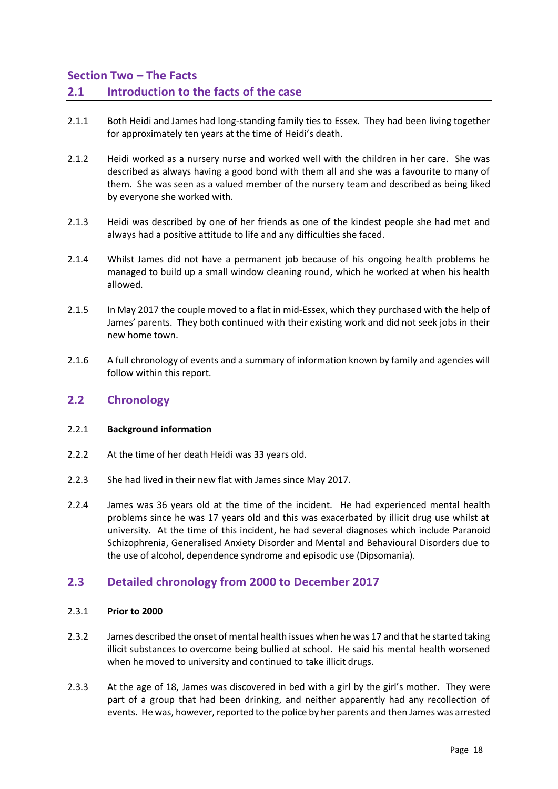### **Section Two – The Facts 2.1 Introduction to the facts of the case**

- 2.1.1 Both Heidi and James had long-standing family ties to Essex. They had been living together for approximately ten years at the time of Heidi's death.
- 2.1.2 Heidi worked as a nursery nurse and worked well with the children in her care. She was described as always having a good bond with them all and she was a favourite to many of them. She was seen as a valued member of the nursery team and described as being liked by everyone she worked with.
- 2.1.3 Heidi was described by one of her friends as one of the kindest people she had met and always had a positive attitude to life and any difficulties she faced.
- 2.1.4 Whilst James did not have a permanent job because of his ongoing health problems he managed to build up a small window cleaning round, which he worked at when his health allowed.
- 2.1.5 In May 2017 the couple moved to a flat in mid-Essex, which they purchased with the help of James' parents. They both continued with their existing work and did not seek jobs in their new home town.
- 2.1.6 A full chronology of events and a summary of information known by family and agencies will follow within this report.

### **2.2 Chronology**

#### 2.2.1 **Background information**

- 2.2.2 At the time of her death Heidi was 33 years old.
- 2.2.3 She had lived in their new flat with James since May 2017.
- 2.2.4 James was 36 years old at the time of the incident. He had experienced mental health problems since he was 17 years old and this was exacerbated by illicit drug use whilst at university. At the time of this incident, he had several diagnoses which include Paranoid Schizophrenia, Generalised Anxiety Disorder and Mental and Behavioural Disorders due to the use of alcohol, dependence syndrome and episodic use (Dipsomania).

### **2.3 Detailed chronology from 2000 to December 2017**

#### 2.3.1 **Prior to 2000**

- 2.3.2 James described the onset of mental health issues when he was 17 and that he started taking illicit substances to overcome being bullied at school. He said his mental health worsened when he moved to university and continued to take illicit drugs.
- 2.3.3 At the age of 18, James was discovered in bed with a girl by the girl's mother. They were part of a group that had been drinking, and neither apparently had any recollection of events. He was, however, reported to the police by her parents and then James was arrested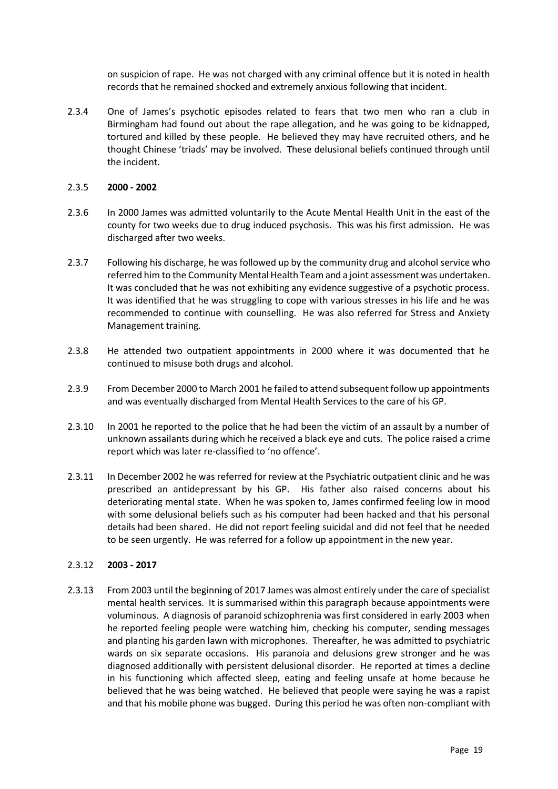on suspicion of rape. He was not charged with any criminal offence but it is noted in health records that he remained shocked and extremely anxious following that incident.

2.3.4 One of James's psychotic episodes related to fears that two men who ran a club in Birmingham had found out about the rape allegation, and he was going to be kidnapped, tortured and killed by these people. He believed they may have recruited others, and he thought Chinese 'triads' may be involved. These delusional beliefs continued through until the incident.

#### 2.3.5 **2000 - 2002**

- 2.3.6 In 2000 James was admitted voluntarily to the Acute Mental Health Unit in the east of the county for two weeks due to drug induced psychosis. This was his first admission. He was discharged after two weeks.
- 2.3.7 Following his discharge, he was followed up by the community drug and alcohol service who referred him to the Community Mental Health Team and a joint assessment was undertaken. It was concluded that he was not exhibiting any evidence suggestive of a psychotic process. It was identified that he was struggling to cope with various stresses in his life and he was recommended to continue with counselling. He was also referred for Stress and Anxiety Management training.
- 2.3.8 He attended two outpatient appointments in 2000 where it was documented that he continued to misuse both drugs and alcohol.
- 2.3.9 From December 2000 to March 2001 he failed to attend subsequent follow up appointments and was eventually discharged from Mental Health Services to the care of his GP.
- 2.3.10 In 2001 he reported to the police that he had been the victim of an assault by a number of unknown assailants during which he received a black eye and cuts. The police raised a crime report which was later re-classified to 'no offence'.
- 2.3.11 In December 2002 he was referred for review at the Psychiatric outpatient clinic and he was prescribed an antidepressant by his GP. His father also raised concerns about his deteriorating mental state. When he was spoken to, James confirmed feeling low in mood with some delusional beliefs such as his computer had been hacked and that his personal details had been shared. He did not report feeling suicidal and did not feel that he needed to be seen urgently. He was referred for a follow up appointment in the new year.

#### 2.3.12 **2003 - 2017**

2.3.13 From 2003 until the beginning of 2017 James was almost entirely under the care of specialist mental health services. It is summarised within this paragraph because appointments were voluminous. A diagnosis of paranoid schizophrenia was first considered in early 2003 when he reported feeling people were watching him, checking his computer, sending messages and planting his garden lawn with microphones. Thereafter, he was admitted to psychiatric wards on six separate occasions. His paranoia and delusions grew stronger and he was diagnosed additionally with persistent delusional disorder. He reported at times a decline in his functioning which affected sleep, eating and feeling unsafe at home because he believed that he was being watched. He believed that people were saying he was a rapist and that his mobile phone was bugged. During this period he was often non-compliant with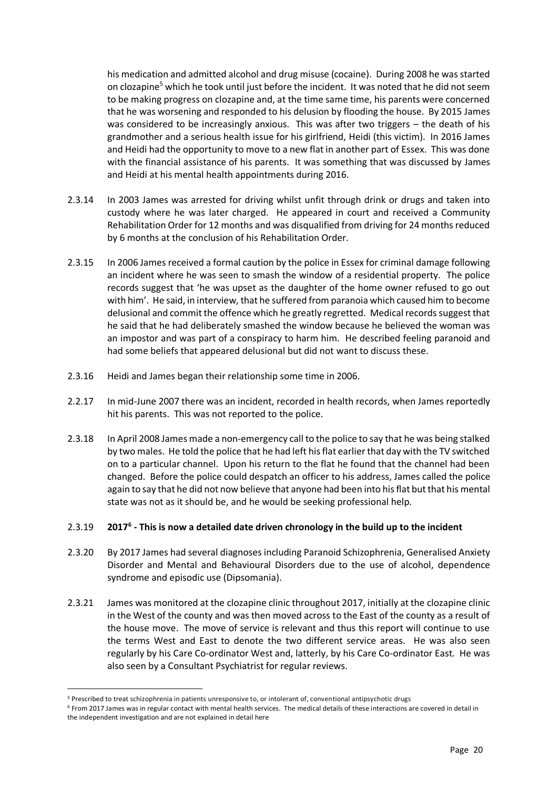his medication and admitted alcohol and drug misuse (cocaine). During 2008 he was started on clozapine<sup>5</sup> which he took until just before the incident. It was noted that he did not seem to be making progress on clozapine and, at the time same time, his parents were concerned that he was worsening and responded to his delusion by flooding the house. By 2015 James was considered to be increasingly anxious. This was after two triggers – the death of his grandmother and a serious health issue for his girlfriend, Heidi (this victim). In 2016 James and Heidi had the opportunity to move to a new flat in another part of Essex. This was done with the financial assistance of his parents. It was something that was discussed by James and Heidi at his mental health appointments during 2016.

- 2.3.14 In 2003 James was arrested for driving whilst unfit through drink or drugs and taken into custody where he was later charged. He appeared in court and received a Community Rehabilitation Order for 12 months and was disqualified from driving for 24 months reduced by 6 months at the conclusion of his Rehabilitation Order.
- 2.3.15 In 2006 James received a formal caution by the police in Essex for criminal damage following an incident where he was seen to smash the window of a residential property. The police records suggest that 'he was upset as the daughter of the home owner refused to go out with him'. He said, in interview, that he suffered from paranoia which caused him to become delusional and commit the offence which he greatly regretted. Medical records suggest that he said that he had deliberately smashed the window because he believed the woman was an impostor and was part of a conspiracy to harm him. He described feeling paranoid and had some beliefs that appeared delusional but did not want to discuss these.
- 2.3.16 Heidi and James began their relationship some time in 2006.
- 2.2.17 In mid-June 2007 there was an incident, recorded in health records, when James reportedly hit his parents. This was not reported to the police.
- 2.3.18 In April 2008 James made a non-emergency call to the police to say that he was being stalked by two males. He told the police that he had left his flat earlier that day with the TV switched on to a particular channel. Upon his return to the flat he found that the channel had been changed. Before the police could despatch an officer to his address, James called the police again to say that he did not now believe that anyone had been into his flat but that his mental state was not as it should be, and he would be seeking professional help.

#### 2.3.19 **2017<sup>6</sup> - This is now a detailed date driven chronology in the build up to the incident**

- 2.3.20 By 2017 James had several diagnoses including Paranoid Schizophrenia, Generalised Anxiety Disorder and Mental and Behavioural Disorders due to the use of alcohol, dependence syndrome and episodic use (Dipsomania).
- 2.3.21 James was monitored at the clozapine clinic throughout 2017, initially at the clozapine clinic in the West of the county and was then moved across to the East of the county as a result of the house move. The move of service is relevant and thus this report will continue to use the terms West and East to denote the two different service areas. He was also seen regularly by his Care Co-ordinator West and, latterly, by his Care Co-ordinator East. He was also seen by a Consultant Psychiatrist for regular reviews.

<sup>5</sup> Prescribed to treat schizophrenia in patients unresponsive to, or intolerant of, conventional antipsychotic drugs

<sup>6</sup> From 2017 James was in regular contact with mental health services. The medical details of these interactions are covered in detail in the independent investigation and are not explained in detail here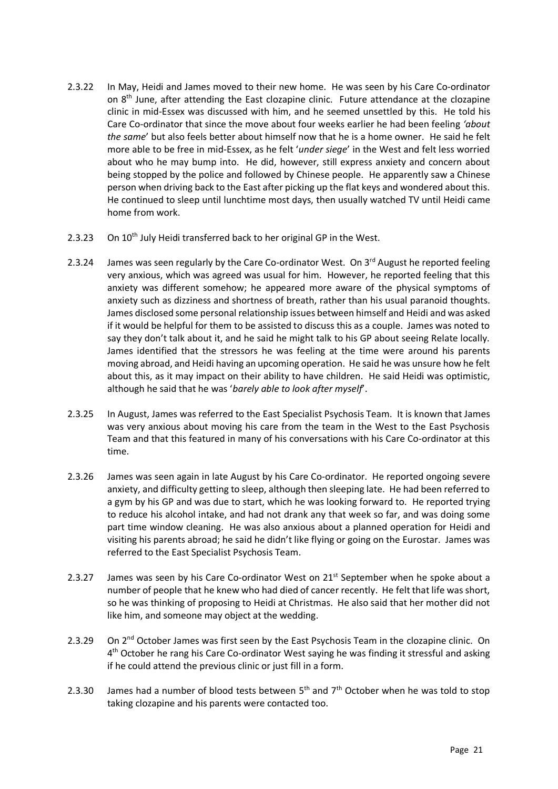- 2.3.22 In May, Heidi and James moved to their new home. He was seen by his Care Co-ordinator on 8th June, after attending the East clozapine clinic. Future attendance at the clozapine clinic in mid-Essex was discussed with him, and he seemed unsettled by this. He told his Care Co-ordinator that since the move about four weeks earlier he had been feeling *'about the same*' but also feels better about himself now that he is a home owner. He said he felt more able to be free in mid-Essex, as he felt '*under siege*' in the West and felt less worried about who he may bump into. He did, however, still express anxiety and concern about being stopped by the police and followed by Chinese people. He apparently saw a Chinese person when driving back to the East after picking up the flat keys and wondered about this. He continued to sleep until lunchtime most days, then usually watched TV until Heidi came home from work.
- 2.3.23 On 10<sup>th</sup> July Heidi transferred back to her original GP in the West.
- 2.3.24 James was seen regularly by the Care Co-ordinator West. On  $3^{rd}$  August he reported feeling very anxious, which was agreed was usual for him. However, he reported feeling that this anxiety was different somehow; he appeared more aware of the physical symptoms of anxiety such as dizziness and shortness of breath, rather than his usual paranoid thoughts. James disclosed some personal relationship issues between himself and Heidi and was asked if it would be helpful for them to be assisted to discuss this as a couple. James was noted to say they don't talk about it, and he said he might talk to his GP about seeing Relate locally. James identified that the stressors he was feeling at the time were around his parents moving abroad, and Heidi having an upcoming operation. He said he was unsure how he felt about this, as it may impact on their ability to have children. He said Heidi was optimistic, although he said that he was '*barely able to look after myself*'.
- 2.3.25 In August, James was referred to the East Specialist Psychosis Team. It is known that James was very anxious about moving his care from the team in the West to the East Psychosis Team and that this featured in many of his conversations with his Care Co-ordinator at this time.
- 2.3.26 James was seen again in late August by his Care Co-ordinator. He reported ongoing severe anxiety, and difficulty getting to sleep, although then sleeping late. He had been referred to a gym by his GP and was due to start, which he was looking forward to. He reported trying to reduce his alcohol intake, and had not drank any that week so far, and was doing some part time window cleaning. He was also anxious about a planned operation for Heidi and visiting his parents abroad; he said he didn't like flying or going on the Eurostar. James was referred to the East Specialist Psychosis Team.
- 2.3.27 James was seen by his Care Co-ordinator West on 21<sup>st</sup> September when he spoke about a number of people that he knew who had died of cancer recently. He felt that life was short, so he was thinking of proposing to Heidi at Christmas. He also said that her mother did not like him, and someone may object at the wedding.
- 2.3.29 On 2<sup>nd</sup> October James was first seen by the East Psychosis Team in the clozapine clinic. On 4<sup>th</sup> October he rang his Care Co-ordinator West saying he was finding it stressful and asking if he could attend the previous clinic or just fill in a form.
- 2.3.30 James had a number of blood tests between  $5<sup>th</sup>$  and  $7<sup>th</sup>$  October when he was told to stop taking clozapine and his parents were contacted too.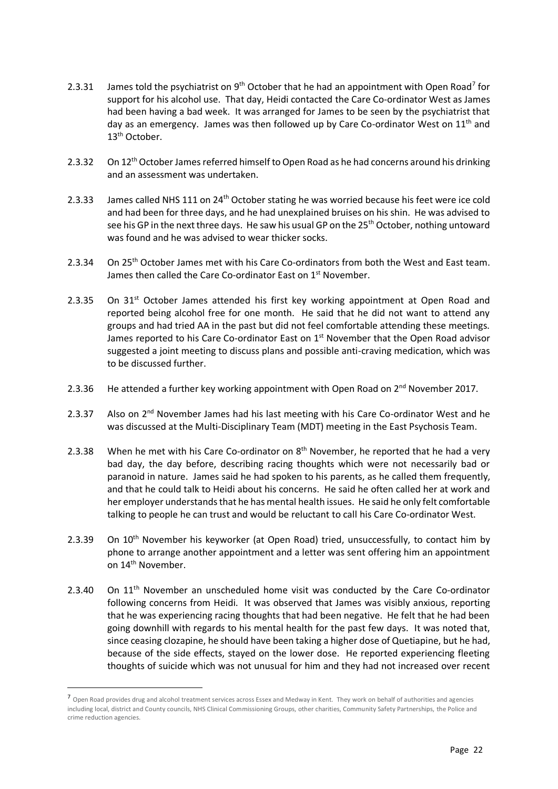- 2.3.31 James told the psychiatrist on  $9^{th}$  October that he had an appointment with Open Road<sup>7</sup> for support for his alcohol use. That day, Heidi contacted the Care Co-ordinator West as James had been having a bad week. It was arranged for James to be seen by the psychiatrist that day as an emergency. James was then followed up by Care Co-ordinator West on  $11<sup>th</sup>$  and 13<sup>th</sup> October.
- 2.3.32 On 12<sup>th</sup> October James referred himself to Open Road as he had concerns around his drinking and an assessment was undertaken.
- 2.3.33 James called NHS 111 on 24<sup>th</sup> October stating he was worried because his feet were ice cold and had been for three days, and he had unexplained bruises on his shin. He was advised to see his GP in the next three days. He saw his usual GP on the 25<sup>th</sup> October, nothing untoward was found and he was advised to wear thicker socks.
- 2.3.34 On 25<sup>th</sup> October James met with his Care Co-ordinators from both the West and East team. James then called the Care Co-ordinator East on 1<sup>st</sup> November.
- 2.3.35 On 31<sup>st</sup> October James attended his first key working appointment at Open Road and reported being alcohol free for one month. He said that he did not want to attend any groups and had tried AA in the past but did not feel comfortable attending these meetings. James reported to his Care Co-ordinator East on  $1<sup>st</sup>$  November that the Open Road advisor suggested a joint meeting to discuss plans and possible anti-craving medication, which was to be discussed further.
- 2.3.36 He attended a further key working appointment with Open Road on  $2^{nd}$  November 2017.
- 2.3.37 Also on  $2^{nd}$  November James had his last meeting with his Care Co-ordinator West and he was discussed at the Multi-Disciplinary Team (MDT) meeting in the East Psychosis Team.
- 2.3.38 When he met with his Care Co-ordinator on  $8<sup>th</sup>$  November, he reported that he had a very bad day, the day before, describing racing thoughts which were not necessarily bad or paranoid in nature. James said he had spoken to his parents, as he called them frequently, and that he could talk to Heidi about his concerns. He said he often called her at work and her employer understands that he has mental health issues. He said he only felt comfortable talking to people he can trust and would be reluctant to call his Care Co-ordinator West.
- 2.3.39 On 10<sup>th</sup> November his keyworker (at Open Road) tried, unsuccessfully, to contact him by phone to arrange another appointment and a letter was sent offering him an appointment on 14<sup>th</sup> November.
- 2.3.40 On 11<sup>th</sup> November an unscheduled home visit was conducted by the Care Co-ordinator following concerns from Heidi. It was observed that James was visibly anxious, reporting that he was experiencing racing thoughts that had been negative. He felt that he had been going downhill with regards to his mental health for the past few days. It was noted that, since ceasing clozapine, he should have been taking a higher dose of Quetiapine, but he had, because of the side effects, stayed on the lower dose. He reported experiencing fleeting thoughts of suicide which was not unusual for him and they had not increased over recent

<sup>7</sup> Open Road provides drug and alcohol treatment services across Essex and Medway in Kent. They work on behalf of authorities and agencies including local, district and County councils, NHS Clinical Commissioning Groups, other charities, Community Safety Partnerships, the Police and crime reduction agencies.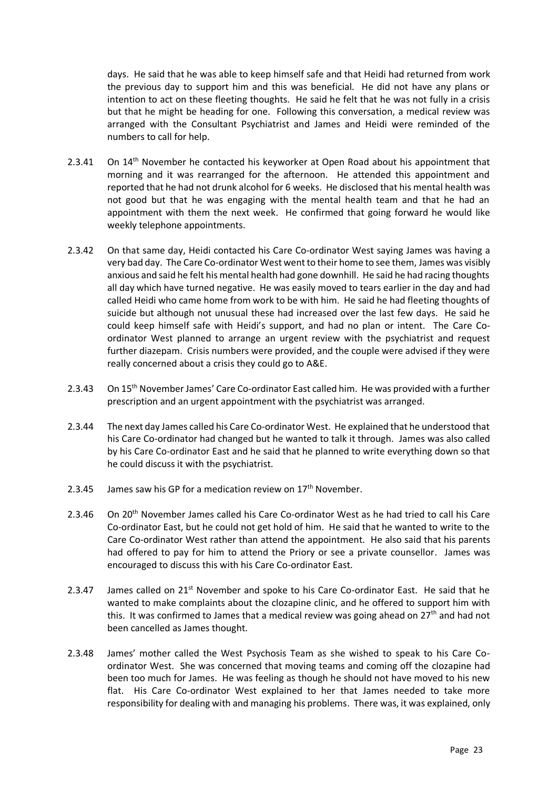days. He said that he was able to keep himself safe and that Heidi had returned from work the previous day to support him and this was beneficial. He did not have any plans or intention to act on these fleeting thoughts. He said he felt that he was not fully in a crisis but that he might be heading for one. Following this conversation, a medical review was arranged with the Consultant Psychiatrist and James and Heidi were reminded of the numbers to call for help.

- 2.3.41 On 14<sup>th</sup> November he contacted his keyworker at Open Road about his appointment that morning and it was rearranged for the afternoon. He attended this appointment and reported that he had not drunk alcohol for 6 weeks. He disclosed that his mental health was not good but that he was engaging with the mental health team and that he had an appointment with them the next week. He confirmed that going forward he would like weekly telephone appointments.
- 2.3.42 On that same day, Heidi contacted his Care Co-ordinator West saying James was having a very bad day. The Care Co-ordinator West went to their home to see them, James was visibly anxious and said he felt his mental health had gone downhill. He said he had racing thoughts all day which have turned negative. He was easily moved to tears earlier in the day and had called Heidi who came home from work to be with him. He said he had fleeting thoughts of suicide but although not unusual these had increased over the last few days. He said he could keep himself safe with Heidi's support, and had no plan or intent. The Care Coordinator West planned to arrange an urgent review with the psychiatrist and request further diazepam. Crisis numbers were provided, and the couple were advised if they were really concerned about a crisis they could go to A&E.
- 2.3.43 On 15<sup>th</sup> November James' Care Co-ordinator East called him. He was provided with a further prescription and an urgent appointment with the psychiatrist was arranged.
- 2.3.44 The next day James called his Care Co-ordinator West. He explained that he understood that his Care Co-ordinator had changed but he wanted to talk it through. James was also called by his Care Co-ordinator East and he said that he planned to write everything down so that he could discuss it with the psychiatrist.
- 2.3.45 James saw his GP for a medication review on  $17<sup>th</sup>$  November.
- 2.3.46 On 20<sup>th</sup> November James called his Care Co-ordinator West as he had tried to call his Care Co-ordinator East, but he could not get hold of him. He said that he wanted to write to the Care Co-ordinator West rather than attend the appointment. He also said that his parents had offered to pay for him to attend the Priory or see a private counsellor. James was encouraged to discuss this with his Care Co-ordinator East.
- 2.3.47 James called on  $21^{st}$  November and spoke to his Care Co-ordinator East. He said that he wanted to make complaints about the clozapine clinic, and he offered to support him with this. It was confirmed to James that a medical review was going ahead on  $27<sup>th</sup>$  and had not been cancelled as James thought.
- 2.3.48 James' mother called the West Psychosis Team as she wished to speak to his Care Coordinator West. She was concerned that moving teams and coming off the clozapine had been too much for James. He was feeling as though he should not have moved to his new flat. His Care Co-ordinator West explained to her that James needed to take more responsibility for dealing with and managing his problems. There was, it was explained, only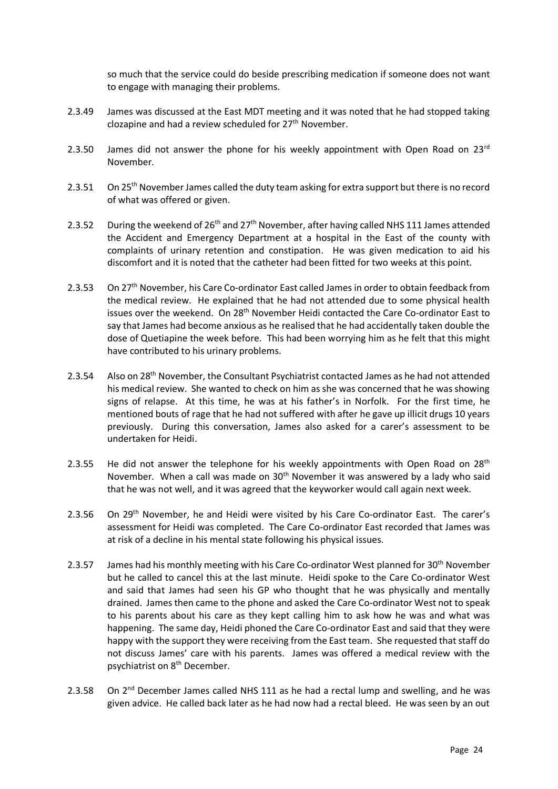so much that the service could do beside prescribing medication if someone does not want to engage with managing their problems.

- 2.3.49 James was discussed at the East MDT meeting and it was noted that he had stopped taking clozapine and had a review scheduled for 27<sup>th</sup> November.
- 2.3.50 James did not answer the phone for his weekly appointment with Open Road on  $23^{rd}$ November.
- 2.3.51 On 25<sup>th</sup> November James called the duty team asking for extra support but there is no record of what was offered or given.
- 2.3.52 During the weekend of  $26<sup>th</sup>$  and  $27<sup>th</sup>$  November, after having called NHS 111 James attended the Accident and Emergency Department at a hospital in the East of the county with complaints of urinary retention and constipation. He was given medication to aid his discomfort and it is noted that the catheter had been fitted for two weeks at this point.
- 2.3.53 On 27<sup>th</sup> November, his Care Co-ordinator East called James in order to obtain feedback from the medical review. He explained that he had not attended due to some physical health issues over the weekend. On 28<sup>th</sup> November Heidi contacted the Care Co-ordinator East to say that James had become anxious as he realised that he had accidentally taken double the dose of Quetiapine the week before. This had been worrying him as he felt that this might have contributed to his urinary problems.
- 2.3.54 Also on 28<sup>th</sup> November, the Consultant Psychiatrist contacted James as he had not attended his medical review. She wanted to check on him as she was concerned that he was showing signs of relapse. At this time, he was at his father's in Norfolk. For the first time, he mentioned bouts of rage that he had not suffered with after he gave up illicit drugs 10 years previously. During this conversation, James also asked for a carer's assessment to be undertaken for Heidi.
- 2.3.55 He did not answer the telephone for his weekly appointments with Open Road on  $28<sup>th</sup>$ November. When a call was made on 30<sup>th</sup> November it was answered by a lady who said that he was not well, and it was agreed that the keyworker would call again next week.
- 2.3.56 On 29<sup>th</sup> November, he and Heidi were visited by his Care Co-ordinator East. The carer's assessment for Heidi was completed. The Care Co-ordinator East recorded that James was at risk of a decline in his mental state following his physical issues.
- 2.3.57 James had his monthly meeting with his Care Co-ordinator West planned for 30<sup>th</sup> November but he called to cancel this at the last minute. Heidi spoke to the Care Co-ordinator West and said that James had seen his GP who thought that he was physically and mentally drained. James then came to the phone and asked the Care Co-ordinator West not to speak to his parents about his care as they kept calling him to ask how he was and what was happening. The same day, Heidi phoned the Care Co-ordinator East and said that they were happy with the support they were receiving from the East team. She requested that staff do not discuss James' care with his parents. James was offered a medical review with the psychiatrist on 8th December.
- 2.3.58 On 2<sup>nd</sup> December James called NHS 111 as he had a rectal lump and swelling, and he was given advice. He called back later as he had now had a rectal bleed. He was seen by an out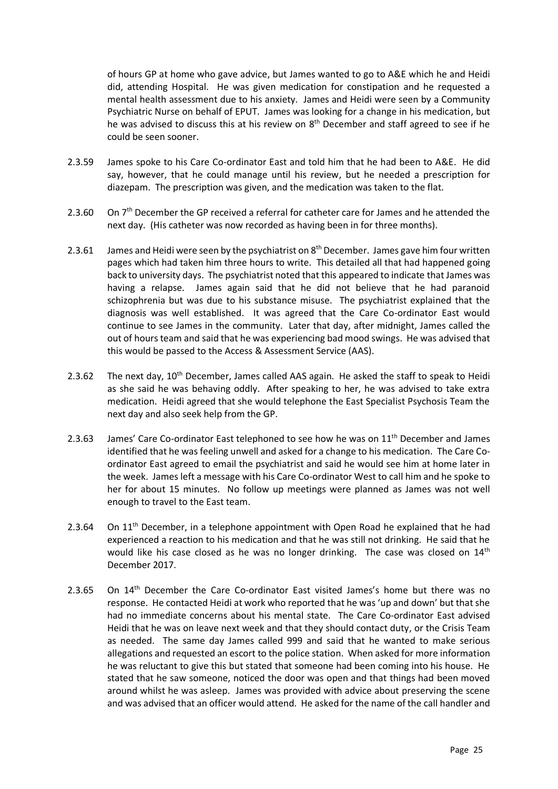of hours GP at home who gave advice, but James wanted to go to A&E which he and Heidi did, attending Hospital. He was given medication for constipation and he requested a mental health assessment due to his anxiety. James and Heidi were seen by a Community Psychiatric Nurse on behalf of EPUT. James was looking for a change in his medication, but he was advised to discuss this at his review on 8<sup>th</sup> December and staff agreed to see if he could be seen sooner.

- 2.3.59 James spoke to his Care Co-ordinator East and told him that he had been to A&E. He did say, however, that he could manage until his review, but he needed a prescription for diazepam. The prescription was given, and the medication was taken to the flat.
- 2.3.60 On  $7<sup>th</sup>$  December the GP received a referral for catheter care for James and he attended the next day. (His catheter was now recorded as having been in for three months).
- 2.3.61 James and Heidi were seen by the psychiatrist on  $8<sup>th</sup>$  December. James gave him four written pages which had taken him three hours to write. This detailed all that had happened going back to university days. The psychiatrist noted that this appeared to indicate that James was having a relapse. James again said that he did not believe that he had paranoid schizophrenia but was due to his substance misuse. The psychiatrist explained that the diagnosis was well established. It was agreed that the Care Co-ordinator East would continue to see James in the community. Later that day, after midnight, James called the out of hours team and said that he was experiencing bad mood swings. He was advised that this would be passed to the Access & Assessment Service (AAS).
- 2.3.62 The next day,  $10^{th}$  December, James called AAS again. He asked the staff to speak to Heidi as she said he was behaving oddly. After speaking to her, he was advised to take extra medication. Heidi agreed that she would telephone the East Specialist Psychosis Team the next day and also seek help from the GP.
- 2.3.63 James' Care Co-ordinator East telephoned to see how he was on  $11^{th}$  December and James identified that he was feeling unwell and asked for a change to his medication. The Care Coordinator East agreed to email the psychiatrist and said he would see him at home later in the week. James left a message with his Care Co-ordinator West to call him and he spoke to her for about 15 minutes. No follow up meetings were planned as James was not well enough to travel to the East team.
- 2.3.64 On 11<sup>th</sup> December, in a telephone appointment with Open Road he explained that he had experienced a reaction to his medication and that he was still not drinking. He said that he would like his case closed as he was no longer drinking. The case was closed on  $14<sup>th</sup>$ December 2017.
- 2.3.65 On 14<sup>th</sup> December the Care Co-ordinator East visited James's home but there was no response. He contacted Heidi at work who reported that he was 'up and down' but that she had no immediate concerns about his mental state. The Care Co-ordinator East advised Heidi that he was on leave next week and that they should contact duty, or the Crisis Team as needed. The same day James called 999 and said that he wanted to make serious allegations and requested an escort to the police station. When asked for more information he was reluctant to give this but stated that someone had been coming into his house. He stated that he saw someone, noticed the door was open and that things had been moved around whilst he was asleep. James was provided with advice about preserving the scene and was advised that an officer would attend. He asked for the name of the call handler and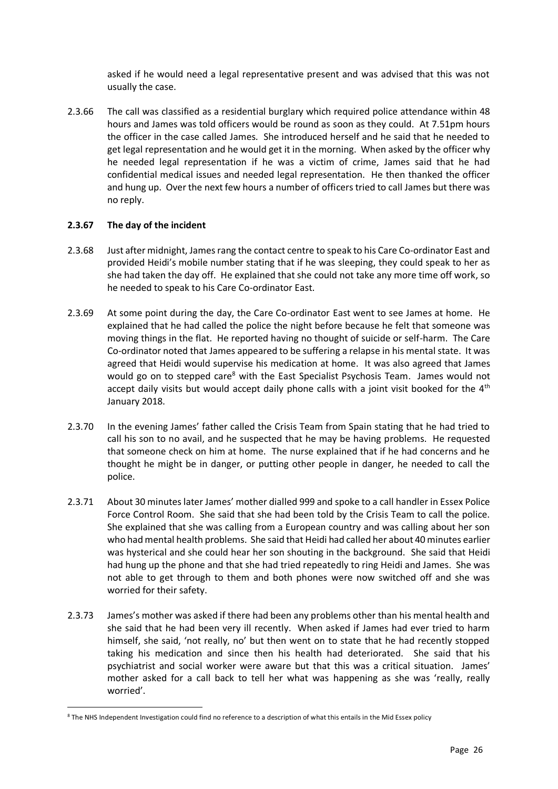asked if he would need a legal representative present and was advised that this was not usually the case.

2.3.66 The call was classified as a residential burglary which required police attendance within 48 hours and James was told officers would be round as soon as they could. At 7.51pm hours the officer in the case called James. She introduced herself and he said that he needed to get legal representation and he would get it in the morning. When asked by the officer why he needed legal representation if he was a victim of crime, James said that he had confidential medical issues and needed legal representation. He then thanked the officer and hung up. Over the next few hours a number of officers tried to call James but there was no reply.

#### **2.3.67 The day of the incident**

- 2.3.68 Just after midnight, James rang the contact centre to speak to his Care Co-ordinator East and provided Heidi's mobile number stating that if he was sleeping, they could speak to her as she had taken the day off. He explained that she could not take any more time off work, so he needed to speak to his Care Co-ordinator East.
- 2.3.69 At some point during the day, the Care Co-ordinator East went to see James at home. He explained that he had called the police the night before because he felt that someone was moving things in the flat. He reported having no thought of suicide or self-harm. The Care Co-ordinator noted that James appeared to be suffering a relapse in his mental state. It was agreed that Heidi would supervise his medication at home. It was also agreed that James would go on to stepped care<sup>8</sup> with the East Specialist Psychosis Team. James would not accept daily visits but would accept daily phone calls with a joint visit booked for the  $4<sup>th</sup>$ January 2018.
- 2.3.70 In the evening James' father called the Crisis Team from Spain stating that he had tried to call his son to no avail, and he suspected that he may be having problems. He requested that someone check on him at home. The nurse explained that if he had concerns and he thought he might be in danger, or putting other people in danger, he needed to call the police.
- 2.3.71 About 30 minutes later James' mother dialled 999 and spoke to a call handler in Essex Police Force Control Room. She said that she had been told by the Crisis Team to call the police. She explained that she was calling from a European country and was calling about her son who had mental health problems. She said that Heidi had called her about 40 minutes earlier was hysterical and she could hear her son shouting in the background. She said that Heidi had hung up the phone and that she had tried repeatedly to ring Heidi and James. She was not able to get through to them and both phones were now switched off and she was worried for their safety.
- 2.3.73 James's mother was asked if there had been any problems other than his mental health and she said that he had been very ill recently. When asked if James had ever tried to harm himself, she said, 'not really, no' but then went on to state that he had recently stopped taking his medication and since then his health had deteriorated. She said that his psychiatrist and social worker were aware but that this was a critical situation. James' mother asked for a call back to tell her what was happening as she was 'really, really worried'.

<sup>8</sup> The NHS Independent Investigation could find no reference to a description of what this entails in the Mid Essex policy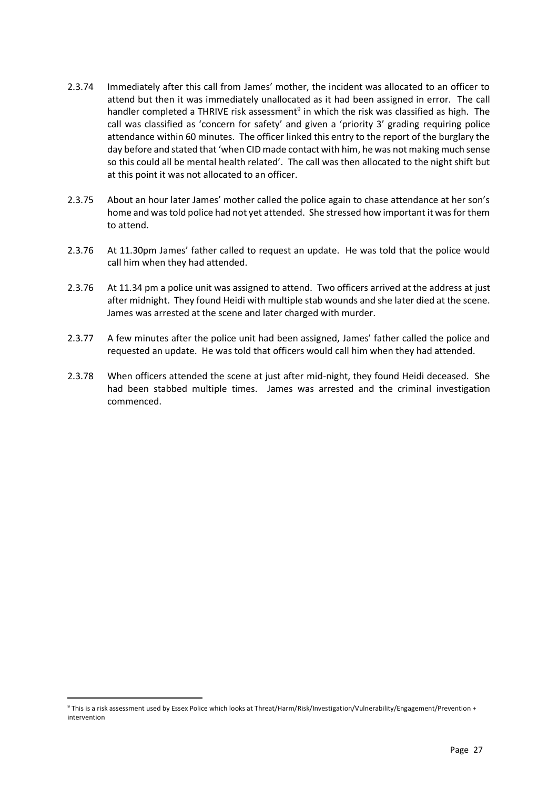- 2.3.74 Immediately after this call from James' mother, the incident was allocated to an officer to attend but then it was immediately unallocated as it had been assigned in error. The call handler completed a THRIVE risk assessment<sup>9</sup> in which the risk was classified as high. The call was classified as 'concern for safety' and given a 'priority 3' grading requiring police attendance within 60 minutes. The officer linked this entry to the report of the burglary the day before and stated that 'when CID made contact with him, he was not making much sense so this could all be mental health related'. The call was then allocated to the night shift but at this point it was not allocated to an officer.
- 2.3.75 About an hour later James' mother called the police again to chase attendance at her son's home and was told police had not yet attended. She stressed how important it was for them to attend.
- 2.3.76 At 11.30pm James' father called to request an update. He was told that the police would call him when they had attended.
- 2.3.76 At 11.34 pm a police unit was assigned to attend. Two officers arrived at the address at just after midnight. They found Heidi with multiple stab wounds and she later died at the scene. James was arrested at the scene and later charged with murder.
- 2.3.77 A few minutes after the police unit had been assigned, James' father called the police and requested an update. He was told that officers would call him when they had attended.
- 2.3.78 When officers attended the scene at just after mid-night, they found Heidi deceased. She had been stabbed multiple times. James was arrested and the criminal investigation commenced.

<sup>9</sup> This is a risk assessment used by Essex Police which looks at Threat/Harm/Risk/Investigation/Vulnerability/Engagement/Prevention + intervention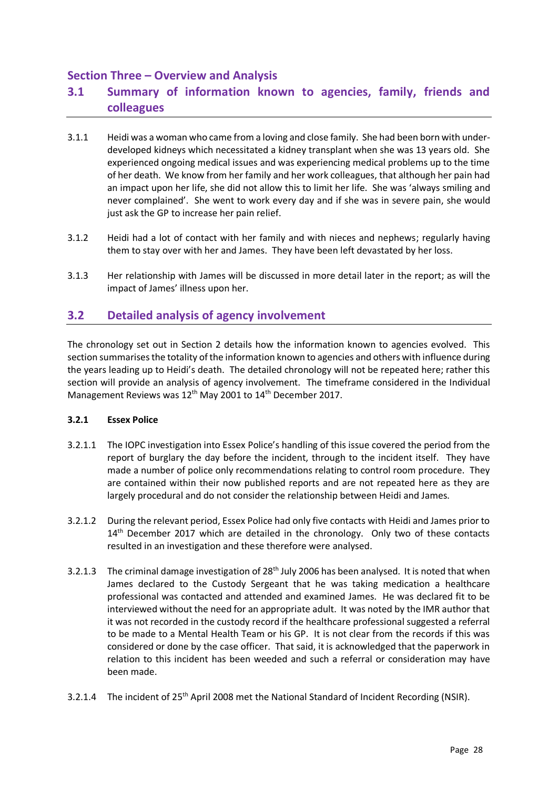### **Section Three – Overview and Analysis**

# **3.1 Summary of information known to agencies, family, friends and colleagues**

- 3.1.1 Heidi was a woman who came from a loving and close family. She had been born with underdeveloped kidneys which necessitated a kidney transplant when she was 13 years old. She experienced ongoing medical issues and was experiencing medical problems up to the time of her death. We know from her family and her work colleagues, that although her pain had an impact upon her life, she did not allow this to limit her life. She was 'always smiling and never complained'. She went to work every day and if she was in severe pain, she would just ask the GP to increase her pain relief.
- 3.1.2 Heidi had a lot of contact with her family and with nieces and nephews; regularly having them to stay over with her and James. They have been left devastated by her loss.
- 3.1.3 Her relationship with James will be discussed in more detail later in the report; as will the impact of James' illness upon her.

### **3.2 Detailed analysis of agency involvement**

The chronology set out in Section 2 details how the information known to agencies evolved. This section summarises the totality of the information known to agencies and others with influence during the years leading up to Heidi's death. The detailed chronology will not be repeated here; rather this section will provide an analysis of agency involvement. The timeframe considered in the Individual Management Reviews was 12<sup>th</sup> May 2001 to 14<sup>th</sup> December 2017.

#### **3.2.1 Essex Police**

- 3.2.1.1 The IOPC investigation into Essex Police's handling of this issue covered the period from the report of burglary the day before the incident, through to the incident itself. They have made a number of police only recommendations relating to control room procedure. They are contained within their now published reports and are not repeated here as they are largely procedural and do not consider the relationship between Heidi and James.
- 3.2.1.2 During the relevant period, Essex Police had only five contacts with Heidi and James prior to 14<sup>th</sup> December 2017 which are detailed in the chronology. Only two of these contacts resulted in an investigation and these therefore were analysed.
- 3.2.1.3 The criminal damage investigation of 28<sup>th</sup> July 2006 has been analysed. It is noted that when James declared to the Custody Sergeant that he was taking medication a healthcare professional was contacted and attended and examined James. He was declared fit to be interviewed without the need for an appropriate adult. It was noted by the IMR author that it was not recorded in the custody record if the healthcare professional suggested a referral to be made to a Mental Health Team or his GP. It is not clear from the records if this was considered or done by the case officer. That said, it is acknowledged that the paperwork in relation to this incident has been weeded and such a referral or consideration may have been made.
- 3.2.1.4 The incident of 25<sup>th</sup> April 2008 met the National Standard of Incident Recording (NSIR).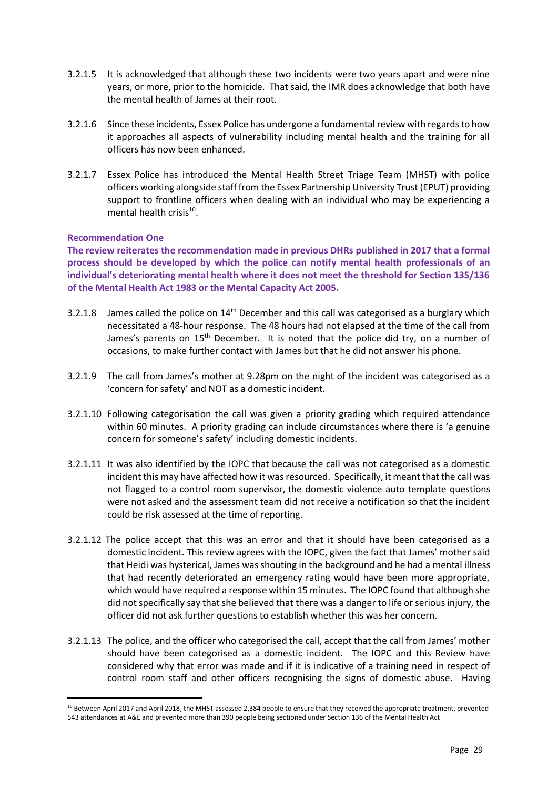- 3.2.1.5 It is acknowledged that although these two incidents were two years apart and were nine years, or more, prior to the homicide. That said, the IMR does acknowledge that both have the mental health of James at their root.
- 3.2.1.6 Since these incidents, Essex Police has undergone a fundamental review with regards to how it approaches all aspects of vulnerability including mental health and the training for all officers has now been enhanced.
- 3.2.1.7 Essex Police has introduced the Mental Health Street Triage Team (MHST) with police officers working alongside staff from the Essex Partnership University Trust (EPUT) providing support to frontline officers when dealing with an individual who may be experiencing a mental health crisis<sup>10</sup>.

#### **Recommendation One**

**The review reiterates the recommendation made in previous DHRs published in 2017 that a formal process should be developed by which the police can notify mental health professionals of an individual's deteriorating mental health where it does not meet the threshold for Section 135/136 of the Mental Health Act 1983 or the Mental Capacity Act 2005.**

- 3.2.1.8 James called the police on  $14<sup>th</sup>$  December and this call was categorised as a burglary which necessitated a 48-hour response. The 48 hours had not elapsed at the time of the call from James's parents on 15<sup>th</sup> December. It is noted that the police did try, on a number of occasions, to make further contact with James but that he did not answer his phone.
- 3.2.1.9 The call from James's mother at 9.28pm on the night of the incident was categorised as a 'concern for safety' and NOT as a domestic incident.
- 3.2.1.10 Following categorisation the call was given a priority grading which required attendance within 60 minutes. A priority grading can include circumstances where there is 'a genuine concern for someone's safety' including domestic incidents.
- 3.2.1.11 It was also identified by the IOPC that because the call was not categorised as a domestic incident this may have affected how it was resourced. Specifically, it meant that the call was not flagged to a control room supervisor, the domestic violence auto template questions were not asked and the assessment team did not receive a notification so that the incident could be risk assessed at the time of reporting.
- 3.2.1.12 The police accept that this was an error and that it should have been categorised as a domestic incident. This review agrees with the IOPC, given the fact that James' mother said that Heidi was hysterical, James was shouting in the background and he had a mental illness that had recently deteriorated an emergency rating would have been more appropriate, which would have required a response within 15 minutes. The IOPC found that although she did not specifically say that she believed that there was a danger to life or serious injury, the officer did not ask further questions to establish whether this was her concern.
- 3.2.1.13 The police, and the officer who categorised the call, accept that the call from James' mother should have been categorised as a domestic incident. The IOPC and this Review have considered why that error was made and if it is indicative of a training need in respect of control room staff and other officers recognising the signs of domestic abuse. Having

<sup>10</sup> Between April 2017 and April 2018, the MHST assessed 2,384 people to ensure that they received the appropriate treatment, prevented 543 attendances at A&E and prevented more than 390 people being sectioned under Section 136 of the Mental Health Act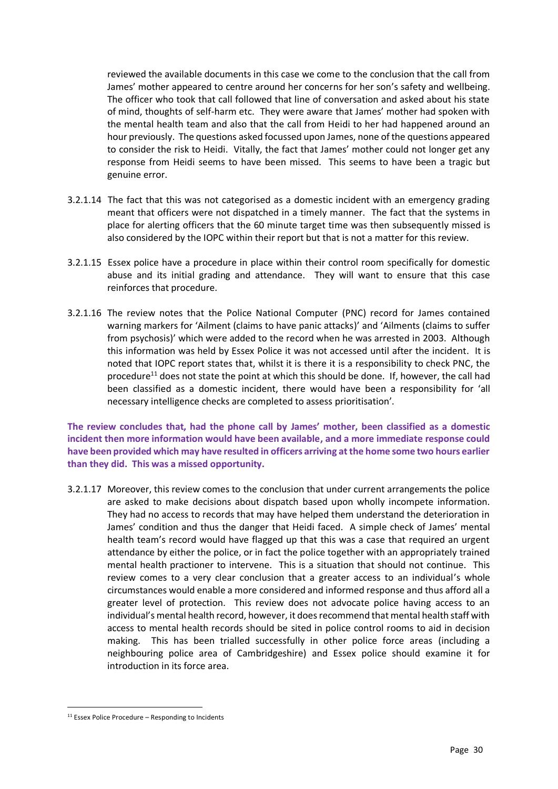reviewed the available documents in this case we come to the conclusion that the call from James' mother appeared to centre around her concerns for her son's safety and wellbeing. The officer who took that call followed that line of conversation and asked about his state of mind, thoughts of self-harm etc. They were aware that James' mother had spoken with the mental health team and also that the call from Heidi to her had happened around an hour previously. The questions asked focussed upon James, none of the questions appeared to consider the risk to Heidi. Vitally, the fact that James' mother could not longer get any response from Heidi seems to have been missed. This seems to have been a tragic but genuine error.

- 3.2.1.14 The fact that this was not categorised as a domestic incident with an emergency grading meant that officers were not dispatched in a timely manner. The fact that the systems in place for alerting officers that the 60 minute target time was then subsequently missed is also considered by the IOPC within their report but that is not a matter for this review.
- 3.2.1.15 Essex police have a procedure in place within their control room specifically for domestic abuse and its initial grading and attendance. They will want to ensure that this case reinforces that procedure.
- 3.2.1.16 The review notes that the Police National Computer (PNC) record for James contained warning markers for 'Ailment (claims to have panic attacks)' and 'Ailments (claims to suffer from psychosis)' which were added to the record when he was arrested in 2003. Although this information was held by Essex Police it was not accessed until after the incident. It is noted that IOPC report states that, whilst it is there it is a responsibility to check PNC, the procedure<sup>11</sup> does not state the point at which this should be done. If, however, the call had been classified as a domestic incident, there would have been a responsibility for 'all necessary intelligence checks are completed to assess prioritisation'.

**The review concludes that, had the phone call by James' mother, been classified as a domestic incident then more information would have been available, and a more immediate response could have been provided which may have resulted in officers arriving at the home some two hours earlier than they did. This was a missed opportunity.**

3.2.1.17 Moreover, this review comes to the conclusion that under current arrangements the police are asked to make decisions about dispatch based upon wholly incompete information. They had no access to records that may have helped them understand the deterioration in James' condition and thus the danger that Heidi faced. A simple check of James' mental health team's record would have flagged up that this was a case that required an urgent attendance by either the police, or in fact the police together with an appropriately trained mental health practioner to intervene. This is a situation that should not continue. This review comes to a very clear conclusion that a greater access to an individual's whole circumstances would enable a more considered and informed response and thus afford all a greater level of protection. This review does not advocate police having access to an individual's mental health record, however, it does recommend that mental health staff with access to mental health records should be sited in police control rooms to aid in decision making. This has been trialled successfully in other police force areas (including a neighbouring police area of Cambridgeshire) and Essex police should examine it for introduction in its force area.

 $11$  Essex Police Procedure – Responding to Incidents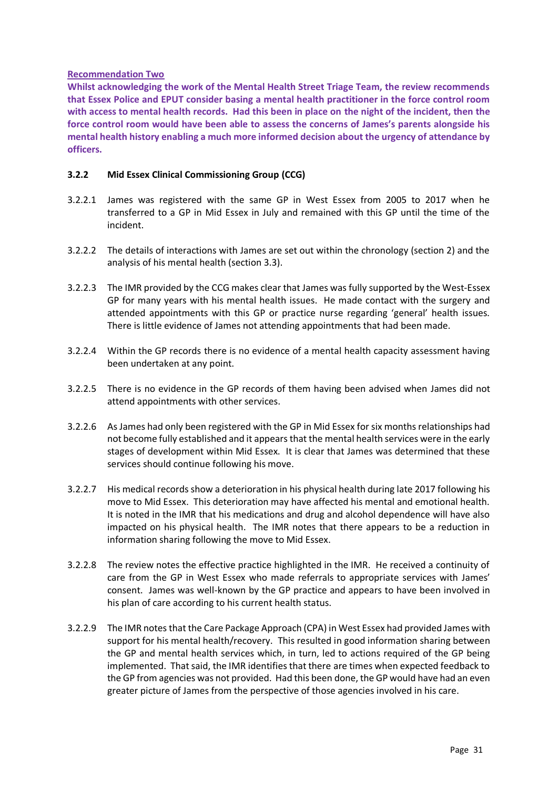#### **Recommendation Two**

**Whilst acknowledging the work of the Mental Health Street Triage Team, the review recommends that Essex Police and EPUT consider basing a mental health practitioner in the force control room with access to mental health records. Had this been in place on the night of the incident, then the force control room would have been able to assess the concerns of James's parents alongside his mental health history enabling a much more informed decision about the urgency of attendance by officers.**

#### **3.2.2 Mid Essex Clinical Commissioning Group (CCG)**

- 3.2.2.1 James was registered with the same GP in West Essex from 2005 to 2017 when he transferred to a GP in Mid Essex in July and remained with this GP until the time of the incident.
- 3.2.2.2 The details of interactions with James are set out within the chronology (section 2) and the analysis of his mental health (section 3.3).
- 3.2.2.3 The IMR provided by the CCG makes clear that James was fully supported by the West-Essex GP for many years with his mental health issues. He made contact with the surgery and attended appointments with this GP or practice nurse regarding 'general' health issues. There is little evidence of James not attending appointments that had been made.
- 3.2.2.4 Within the GP records there is no evidence of a mental health capacity assessment having been undertaken at any point.
- 3.2.2.5 There is no evidence in the GP records of them having been advised when James did not attend appointments with other services.
- 3.2.2.6 As James had only been registered with the GP in Mid Essex for six months relationships had not become fully established and it appears that the mental health services were in the early stages of development within Mid Essex. It is clear that James was determined that these services should continue following his move.
- 3.2.2.7 His medical records show a deterioration in his physical health during late 2017 following his move to Mid Essex. This deterioration may have affected his mental and emotional health. It is noted in the IMR that his medications and drug and alcohol dependence will have also impacted on his physical health. The IMR notes that there appears to be a reduction in information sharing following the move to Mid Essex.
- 3.2.2.8 The review notes the effective practice highlighted in the IMR. He received a continuity of care from the GP in West Essex who made referrals to appropriate services with James' consent. James was well-known by the GP practice and appears to have been involved in his plan of care according to his current health status.
- 3.2.2.9 The IMR notes that the Care Package Approach (CPA) in West Essex had provided James with support for his mental health/recovery. This resulted in good information sharing between the GP and mental health services which, in turn, led to actions required of the GP being implemented. That said, the IMR identifies that there are times when expected feedback to the GP from agencies was not provided. Had this been done, the GP would have had an even greater picture of James from the perspective of those agencies involved in his care.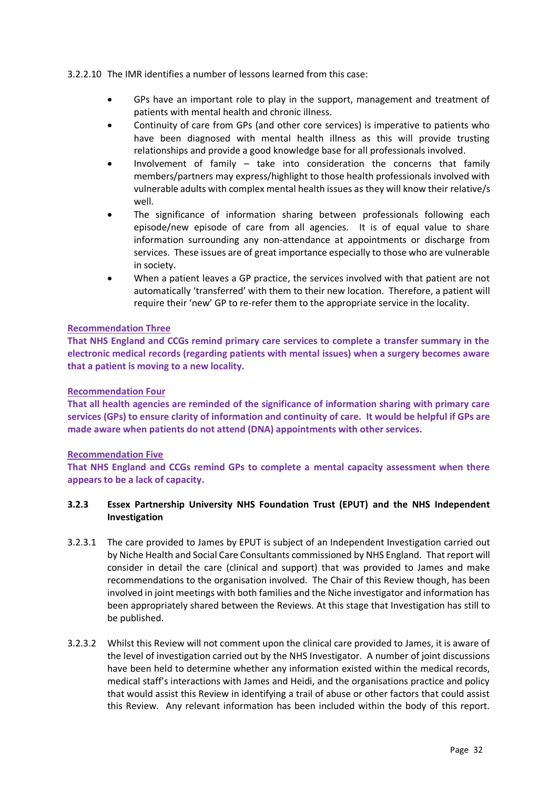#### 3.2.2.10 The IMR identifies a number of lessons learned from this case:

- GPs have an important role to play in the support, management and treatment of patients with mental health and chronic illness.
- Continuity of care from GPs (and other core services) is imperative to patients who have been diagnosed with mental health illness as this will provide trusting relationships and provide a good knowledge base for all professionals involved.
- Involvement of family  $-$  take into consideration the concerns that family members/partners may express/highlight to those health professionals involved with vulnerable adults with complex mental health issues as they will know their relative/s well.
- The significance of information sharing between professionals following each episode/new episode of care from all agencies. It is of equal value to share information surrounding any non-attendance at appointments or discharge from services. These issues are of great importance especially to those who are vulnerable in society.
- When a patient leaves a GP practice, the services involved with that patient are not automatically 'transferred' with them to their new location. Therefore, a patient will require their 'new' GP to re-refer them to the appropriate service in the locality.

#### **Recommendation Three**

**That NHS England and CCGs remind primary care services to complete a transfer summary in the electronic medical records (regarding patients with mental issues) when a surgery becomes aware that a patient is moving to a new locality.** 

#### **Recommendation Four**

**That all health agencies are reminded of the significance of information sharing with primary care services (GPs) to ensure clarity of information and continuity of care. It would be helpful if GPs are made aware when patients do not attend (DNA) appointments with other services.** 

#### **Recommendation Five**

**That NHS England and CCGs remind GPs to complete a mental capacity assessment when there appears to be a lack of capacity.**

#### **3.2.3 Essex Partnership University NHS Foundation Trust (EPUT) and the NHS Independent Investigation**

- 3.2.3.1 The care provided to James by EPUT is subject of an Independent Investigation carried out by Niche Health and Social Care Consultants commissioned by NHS England. That report will consider in detail the care (clinical and support) that was provided to James and make recommendations to the organisation involved. The Chair of this Review though, has been involved in joint meetings with both families and the Niche investigator and information has been appropriately shared between the Reviews. At this stage that Investigation has still to be published.
- 3.2.3.2 Whilst this Review will not comment upon the clinical care provided to James, it is aware of the level of investigation carried out by the NHS Investigator. A number of joint discussions have been held to determine whether any information existed within the medical records, medical staff's interactions with James and Heidi, and the organisations practice and policy that would assist this Review in identifying a trail of abuse or other factors that could assist this Review. Any relevant information has been included within the body of this report.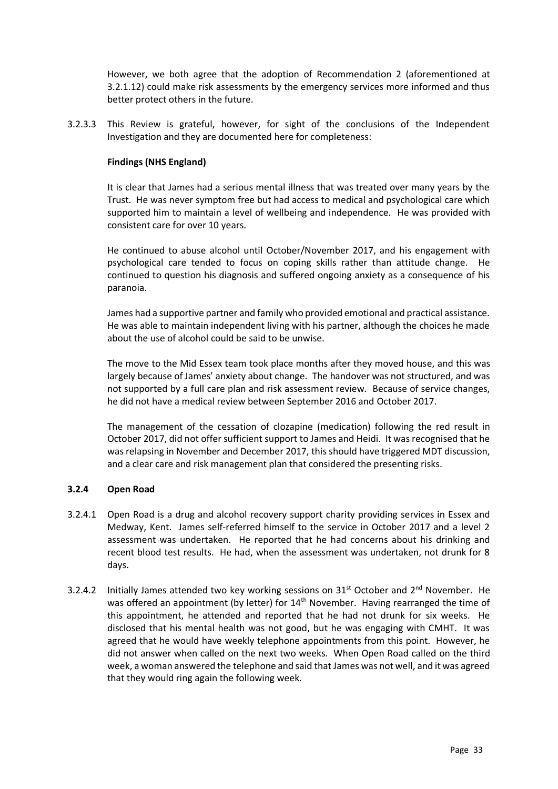However, we both agree that the adoption of Recommendation 2 (aforementioned at 3.2.1.12) could make risk assessments by the emergency services more informed and thus better protect others in the future.

3.2.3.3 This Review is grateful, however, for sight of the conclusions of the Independent Investigation and they are documented here for completeness:

#### **Findings (NHS England)**

It is clear that James had a serious mental illness that was treated over many years by the Trust. He was never symptom free but had access to medical and psychological care which supported him to maintain a level of wellbeing and independence. He was provided with consistent care for over 10 years.

He continued to abuse alcohol until October/November 2017, and his engagement with psychological care tended to focus on coping skills rather than attitude change. He continued to question his diagnosis and suffered ongoing anxiety as a consequence of his paranoia.

James had a supportive partner and family who provided emotional and practical assistance. He was able to maintain independent living with his partner, although the choices he made about the use of alcohol could be said to be unwise.

The move to the Mid Essex team took place months after they moved house, and this was largely because of James' anxiety about change. The handover was not structured, and was not supported by a full care plan and risk assessment review. Because of service changes, he did not have a medical review between September 2016 and October 2017.

The management of the cessation of clozapine (medication) following the red result in October 2017, did not offer sufficient support to James and Heidi. It was recognised that he was relapsing in November and December 2017, this should have triggered MDT discussion, and a clear care and risk management plan that considered the presenting risks.

#### **3.2.4 Open Road**

- 3.2.4.1 Open Road is a drug and alcohol recovery support charity providing services in Essex and Medway, Kent. James self-referred himself to the service in October 2017 and a level 2 assessment was undertaken. He reported that he had concerns about his drinking and recent blood test results. He had, when the assessment was undertaken, not drunk for 8 days.
- 3.2.4.2 Initially James attended two key working sessions on  $31^{st}$  October and  $2^{nd}$  November. He was offered an appointment (by letter) for 14<sup>th</sup> November. Having rearranged the time of this appointment, he attended and reported that he had not drunk for six weeks. He disclosed that his mental health was not good, but he was engaging with CMHT. It was agreed that he would have weekly telephone appointments from this point. However, he did not answer when called on the next two weeks. When Open Road called on the third week, a woman answered the telephone and said that James was not well, and it was agreed that they would ring again the following week.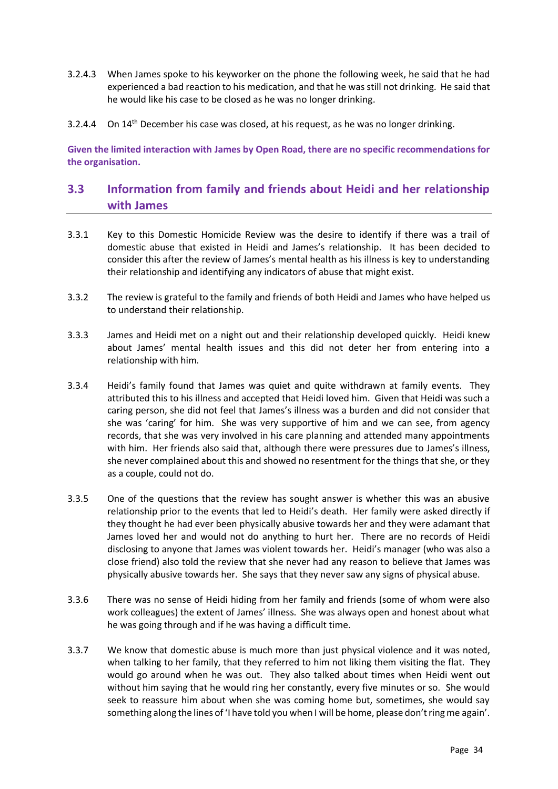- 3.2.4.3 When James spoke to his keyworker on the phone the following week, he said that he had experienced a bad reaction to his medication, and that he was still not drinking. He said that he would like his case to be closed as he was no longer drinking.
- 3.2.4.4 On  $14<sup>th</sup>$  December his case was closed, at his request, as he was no longer drinking.

**Given the limited interaction with James by Open Road, there are no specific recommendations for the organisation.**

### **3.3 Information from family and friends about Heidi and her relationship with James**

- 3.3.1 Key to this Domestic Homicide Review was the desire to identify if there was a trail of domestic abuse that existed in Heidi and James's relationship. It has been decided to consider this after the review of James's mental health as his illness is key to understanding their relationship and identifying any indicators of abuse that might exist.
- 3.3.2 The review is grateful to the family and friends of both Heidi and James who have helped us to understand their relationship.
- 3.3.3 James and Heidi met on a night out and their relationship developed quickly. Heidi knew about James' mental health issues and this did not deter her from entering into a relationship with him.
- 3.3.4 Heidi's family found that James was quiet and quite withdrawn at family events. They attributed this to his illness and accepted that Heidi loved him. Given that Heidi was such a caring person, she did not feel that James's illness was a burden and did not consider that she was 'caring' for him. She was very supportive of him and we can see, from agency records, that she was very involved in his care planning and attended many appointments with him. Her friends also said that, although there were pressures due to James's illness, she never complained about this and showed no resentment for the things that she, or they as a couple, could not do.
- 3.3.5 One of the questions that the review has sought answer is whether this was an abusive relationship prior to the events that led to Heidi's death. Her family were asked directly if they thought he had ever been physically abusive towards her and they were adamant that James loved her and would not do anything to hurt her. There are no records of Heidi disclosing to anyone that James was violent towards her. Heidi's manager (who was also a close friend) also told the review that she never had any reason to believe that James was physically abusive towards her. She says that they never saw any signs of physical abuse.
- 3.3.6 There was no sense of Heidi hiding from her family and friends (some of whom were also work colleagues) the extent of James' illness. She was always open and honest about what he was going through and if he was having a difficult time.
- 3.3.7 We know that domestic abuse is much more than just physical violence and it was noted, when talking to her family, that they referred to him not liking them visiting the flat. They would go around when he was out. They also talked about times when Heidi went out without him saying that he would ring her constantly, every five minutes or so. She would seek to reassure him about when she was coming home but, sometimes, she would say something along the lines of 'I have told you when I will be home, please don't ring me again'.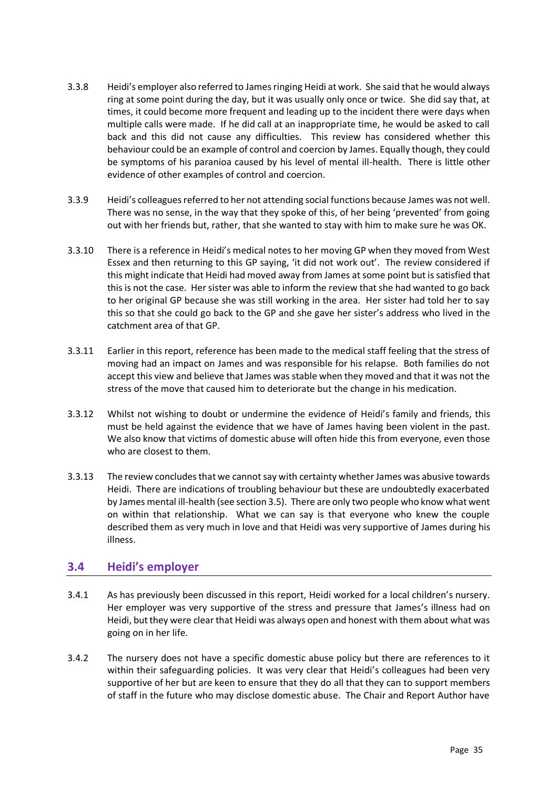- 3.3.8 Heidi's employer also referred to Jamesringing Heidi at work. She said that he would always ring at some point during the day, but it was usually only once or twice. She did say that, at times, it could become more frequent and leading up to the incident there were days when multiple calls were made. If he did call at an inappropriate time, he would be asked to call back and this did not cause any difficulties. This review has considered whether this behaviour could be an example of control and coercion by James. Equally though, they could be symptoms of his paranioa caused by his level of mental ill-health. There is little other evidence of other examples of control and coercion.
- 3.3.9 Heidi's colleagues referred to her not attending social functions because James was not well. There was no sense, in the way that they spoke of this, of her being 'prevented' from going out with her friends but, rather, that she wanted to stay with him to make sure he was OK.
- 3.3.10 There is a reference in Heidi's medical notes to her moving GP when they moved from West Essex and then returning to this GP saying, 'it did not work out'. The review considered if this might indicate that Heidi had moved away from James at some point but is satisfied that this is not the case. Her sister was able to inform the review that she had wanted to go back to her original GP because she was still working in the area. Her sister had told her to say this so that she could go back to the GP and she gave her sister's address who lived in the catchment area of that GP.
- 3.3.11 Earlier in this report, reference has been made to the medical staff feeling that the stress of moving had an impact on James and was responsible for his relapse. Both families do not accept this view and believe that James was stable when they moved and that it was not the stress of the move that caused him to deteriorate but the change in his medication.
- 3.3.12 Whilst not wishing to doubt or undermine the evidence of Heidi's family and friends, this must be held against the evidence that we have of James having been violent in the past. We also know that victims of domestic abuse will often hide this from everyone, even those who are closest to them.
- 3.3.13 The review concludes that we cannot say with certainty whether James was abusive towards Heidi. There are indications of troubling behaviour but these are undoubtedly exacerbated by James mental ill-health (see section 3.5). There are only two people who know what went on within that relationship. What we can say is that everyone who knew the couple described them as very much in love and that Heidi was very supportive of James during his illness.

### **3.4 Heidi's employer**

- 3.4.1 As has previously been discussed in this report, Heidi worked for a local children's nursery. Her employer was very supportive of the stress and pressure that James's illness had on Heidi, but they were clear that Heidi was always open and honest with them about what was going on in her life.
- 3.4.2 The nursery does not have a specific domestic abuse policy but there are references to it within their safeguarding policies. It was very clear that Heidi's colleagues had been very supportive of her but are keen to ensure that they do all that they can to support members of staff in the future who may disclose domestic abuse. The Chair and Report Author have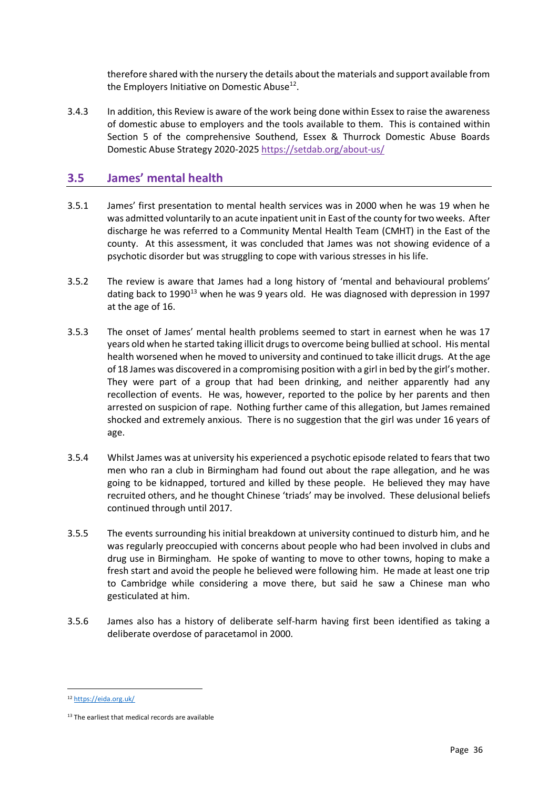therefore shared with the nursery the details about the materials and support available from the Employers Initiative on Domestic Abuse<sup>12</sup>.

3.4.3 In addition, this Review is aware of the work being done within Essex to raise the awareness of domestic abuse to employers and the tools available to them. This is contained within Section 5 of the comprehensive Southend, Essex & Thurrock Domestic Abuse Boards Domestic Abuse Strategy 2020-2025<https://setdab.org/about-us/>

### **3.5 James' mental health**

- 3.5.1 James' first presentation to mental health services was in 2000 when he was 19 when he was admitted voluntarily to an acute inpatient unit in East of the county for two weeks. After discharge he was referred to a Community Mental Health Team (CMHT) in the East of the county. At this assessment, it was concluded that James was not showing evidence of a psychotic disorder but was struggling to cope with various stresses in his life.
- 3.5.2 The review is aware that James had a long history of 'mental and behavioural problems' dating back to 1990 $^{13}$  when he was 9 years old. He was diagnosed with depression in 1997 at the age of 16.
- 3.5.3 The onset of James' mental health problems seemed to start in earnest when he was 17 years old when he started taking illicit drugs to overcome being bullied at school. His mental health worsened when he moved to university and continued to take illicit drugs. At the age of 18 James was discovered in a compromising position with a girl in bed by the girl's mother. They were part of a group that had been drinking, and neither apparently had any recollection of events. He was, however, reported to the police by her parents and then arrested on suspicion of rape. Nothing further came of this allegation, but James remained shocked and extremely anxious. There is no suggestion that the girl was under 16 years of age.
- 3.5.4 Whilst James was at university his experienced a psychotic episode related to fears that two men who ran a club in Birmingham had found out about the rape allegation, and he was going to be kidnapped, tortured and killed by these people. He believed they may have recruited others, and he thought Chinese 'triads' may be involved. These delusional beliefs continued through until 2017.
- 3.5.5 The events surrounding his initial breakdown at university continued to disturb him, and he was regularly preoccupied with concerns about people who had been involved in clubs and drug use in Birmingham. He spoke of wanting to move to other towns, hoping to make a fresh start and avoid the people he believed were following him. He made at least one trip to Cambridge while considering a move there, but said he saw a Chinese man who gesticulated at him.
- 3.5.6 James also has a history of deliberate self-harm having first been identified as taking a deliberate overdose of paracetamol in 2000.

<sup>12</sup> <https://eida.org.uk/>

<sup>&</sup>lt;sup>13</sup> The earliest that medical records are available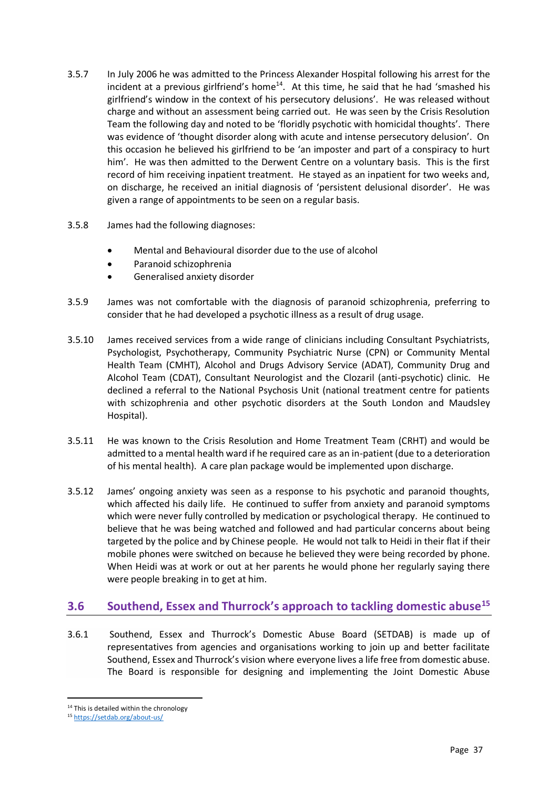- 3.5.7 In July 2006 he was admitted to the Princess Alexander Hospital following his arrest for the incident at a previous girlfriend's home<sup>14</sup>. At this time, he said that he had 'smashed his girlfriend's window in the context of his persecutory delusions'. He was released without charge and without an assessment being carried out. He was seen by the Crisis Resolution Team the following day and noted to be 'floridly psychotic with homicidal thoughts'. There was evidence of 'thought disorder along with acute and intense persecutory delusion'. On this occasion he believed his girlfriend to be 'an imposter and part of a conspiracy to hurt him'. He was then admitted to the Derwent Centre on a voluntary basis. This is the first record of him receiving inpatient treatment. He stayed as an inpatient for two weeks and, on discharge, he received an initial diagnosis of 'persistent delusional disorder'. He was given a range of appointments to be seen on a regular basis.
- 3.5.8 James had the following diagnoses:
	- Mental and Behavioural disorder due to the use of alcohol
	- Paranoid schizophrenia
	- Generalised anxiety disorder
- 3.5.9 James was not comfortable with the diagnosis of paranoid schizophrenia, preferring to consider that he had developed a psychotic illness as a result of drug usage.
- 3.5.10 James received services from a wide range of clinicians including Consultant Psychiatrists, Psychologist, Psychotherapy, Community Psychiatric Nurse (CPN) or Community Mental Health Team (CMHT), Alcohol and Drugs Advisory Service (ADAT), Community Drug and Alcohol Team (CDAT), Consultant Neurologist and the Clozaril (anti-psychotic) clinic. He declined a referral to the National Psychosis Unit (national treatment centre for patients with schizophrenia and other psychotic disorders at the South London and Maudsley Hospital).
- 3.5.11 He was known to the Crisis Resolution and Home Treatment Team (CRHT) and would be admitted to a mental health ward if he required care as an in-patient (due to a deterioration of his mental health). A care plan package would be implemented upon discharge.
- 3.5.12 James' ongoing anxiety was seen as a response to his psychotic and paranoid thoughts, which affected his daily life. He continued to suffer from anxiety and paranoid symptoms which were never fully controlled by medication or psychological therapy. He continued to believe that he was being watched and followed and had particular concerns about being targeted by the police and by Chinese people. He would not talk to Heidi in their flat if their mobile phones were switched on because he believed they were being recorded by phone. When Heidi was at work or out at her parents he would phone her regularly saying there were people breaking in to get at him.

### **3.6 Southend, Essex and Thurrock's approach to tackling domestic abuse<sup>15</sup>**

3.6.1 Southend, Essex and Thurrock's Domestic Abuse Board (SETDAB) is made up of representatives from agencies and organisations working to join up and better facilitate Southend, Essex and Thurrock's vision where everyone lives a life free from domestic abuse. The Board is responsible for designing and implementing the Joint Domestic Abuse

<sup>&</sup>lt;sup>14</sup> This is detailed within the chronology

<sup>15</sup> <https://setdab.org/about-us/>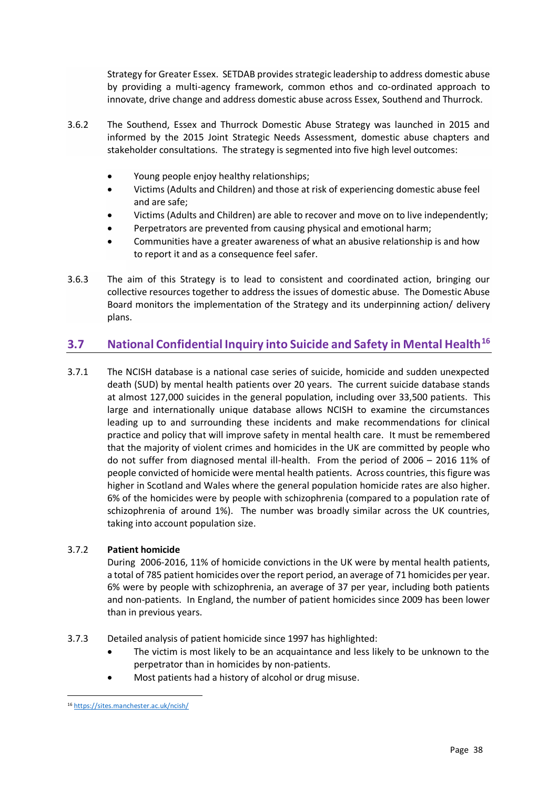Strategy for Greater Essex. SETDAB provides strategic leadership to address domestic abuse by providing a multi-agency framework, common ethos and co-ordinated approach to innovate, drive change and address domestic abuse across Essex, Southend and Thurrock.

- 3.6.2 The Southend, Essex and Thurrock Domestic Abuse Strategy was launched in 2015 and informed by the 2015 Joint Strategic Needs Assessment, domestic abuse chapters and stakeholder consultations. The strategy is segmented into five high level outcomes:
	- Young people enjoy healthy relationships;
	- Victims (Adults and Children) and those at risk of experiencing domestic abuse feel and are safe;
	- Victims (Adults and Children) are able to recover and move on to live independently;
	- Perpetrators are prevented from causing physical and emotional harm;
	- Communities have a greater awareness of what an abusive relationship is and how to report it and as a consequence feel safer.
- 3.6.3 The aim of this Strategy is to lead to consistent and coordinated action, bringing our collective resources together to address the issues of domestic abuse. The Domestic Abuse Board monitors the implementation of the Strategy and its underpinning action/ delivery plans.

### **3.7 National Confidential Inquiry into Suicide and Safety in Mental Health<sup>16</sup>**

3.7.1 The NCISH database is a national case series of suicide, homicide and sudden unexpected death (SUD) by mental health patients over 20 years. The current suicide database stands at almost 127,000 suicides in the general population, including over 33,500 patients. This large and internationally unique database allows NCISH to examine the circumstances leading up to and surrounding these incidents and make recommendations for clinical practice and policy that will improve safety in mental health care. It must be remembered that the majority of violent crimes and homicides in the UK are committed by people who do not suffer from diagnosed mental ill-health. From the period of 2006 – 2016 11% of people convicted of homicide were mental health patients. Across countries, this figure was higher in Scotland and Wales where the general population homicide rates are also higher. 6% of the homicides were by people with schizophrenia (compared to a population rate of schizophrenia of around 1%). The number was broadly similar across the UK countries, taking into account population size.

#### 3.7.2 **Patient homicide**

During 2006-2016, 11% of homicide convictions in the UK were by mental health patients, a total of 785 patient homicides over the report period, an average of 71 homicides per year. 6% were by people with schizophrenia, an average of 37 per year, including both patients and non-patients. In England, the number of patient homicides since 2009 has been lower than in previous years.

#### 3.7.3 Detailed analysis of patient homicide since 1997 has highlighted:

- The victim is most likely to be an acquaintance and less likely to be unknown to the perpetrator than in homicides by non-patients.
- Most patients had a history of alcohol or drug misuse.

<sup>16</sup> <https://sites.manchester.ac.uk/ncish/>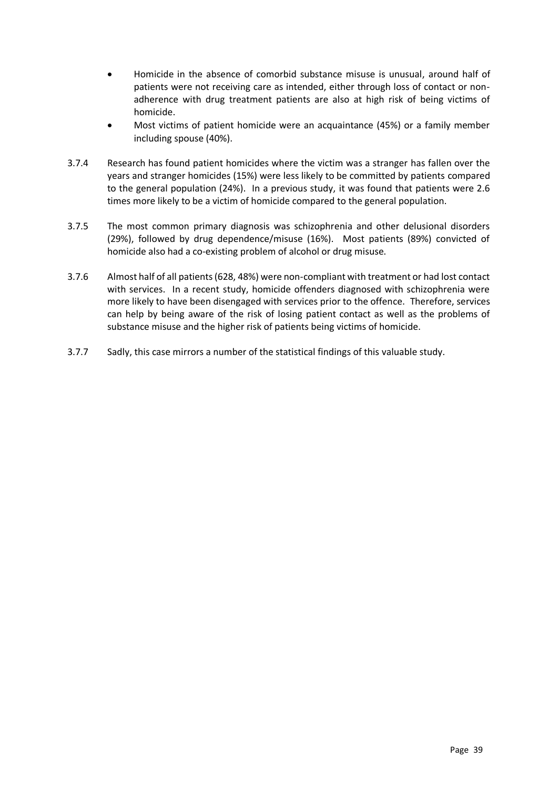- Homicide in the absence of comorbid substance misuse is unusual, around half of patients were not receiving care as intended, either through loss of contact or nonadherence with drug treatment patients are also at high risk of being victims of homicide.
- Most victims of patient homicide were an acquaintance (45%) or a family member including spouse (40%).
- 3.7.4 Research has found patient homicides where the victim was a stranger has fallen over the years and stranger homicides (15%) were less likely to be committed by patients compared to the general population (24%). In a previous study, it was found that patients were 2.6 times more likely to be a victim of homicide compared to the general population.
- 3.7.5 The most common primary diagnosis was schizophrenia and other delusional disorders (29%), followed by drug dependence/misuse (16%). Most patients (89%) convicted of homicide also had a co-existing problem of alcohol or drug misuse.
- 3.7.6 Almost half of all patients (628, 48%) were non-compliant with treatment or had lost contact with services. In a recent study, homicide offenders diagnosed with schizophrenia were more likely to have been disengaged with services prior to the offence. Therefore, services can help by being aware of the risk of losing patient contact as well as the problems of substance misuse and the higher risk of patients being victims of homicide.
- 3.7.7 Sadly, this case mirrors a number of the statistical findings of this valuable study.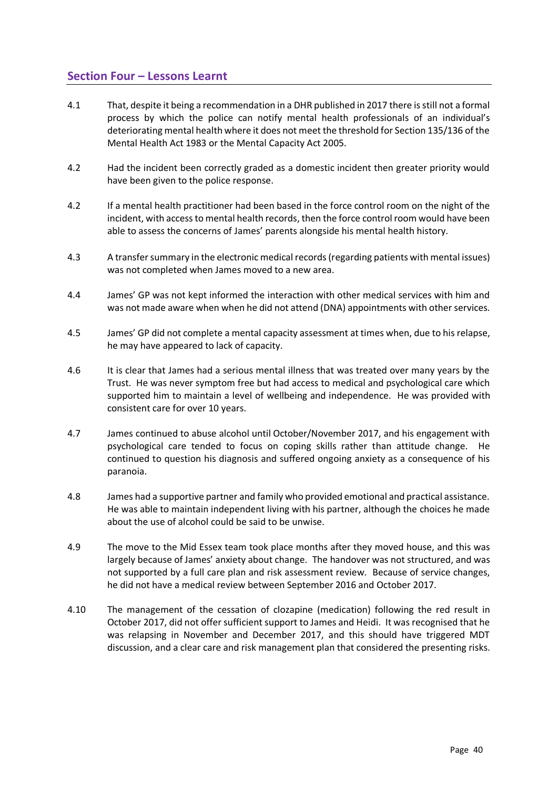### **Section Four – Lessons Learnt**

- 4.1 That, despite it being a recommendation in a DHR published in 2017 there is still not a formal process by which the police can notify mental health professionals of an individual's deteriorating mental health where it does not meet the threshold for Section 135/136 of the Mental Health Act 1983 or the Mental Capacity Act 2005.
- 4.2 Had the incident been correctly graded as a domestic incident then greater priority would have been given to the police response.
- 4.2 If a mental health practitioner had been based in the force control room on the night of the incident, with access to mental health records, then the force control room would have been able to assess the concerns of James' parents alongside his mental health history.
- 4.3 A transfer summary in the electronic medical records (regarding patients with mental issues) was not completed when James moved to a new area.
- 4.4 James' GP was not kept informed the interaction with other medical services with him and was not made aware when when he did not attend (DNA) appointments with other services.
- 4.5 James' GP did not complete a mental capacity assessment at times when, due to his relapse, he may have appeared to lack of capacity.
- 4.6 It is clear that James had a serious mental illness that was treated over many years by the Trust. He was never symptom free but had access to medical and psychological care which supported him to maintain a level of wellbeing and independence. He was provided with consistent care for over 10 years.
- 4.7 James continued to abuse alcohol until October/November 2017, and his engagement with psychological care tended to focus on coping skills rather than attitude change. He continued to question his diagnosis and suffered ongoing anxiety as a consequence of his paranoia.
- 4.8 James had a supportive partner and family who provided emotional and practical assistance. He was able to maintain independent living with his partner, although the choices he made about the use of alcohol could be said to be unwise.
- 4.9 The move to the Mid Essex team took place months after they moved house, and this was largely because of James' anxiety about change. The handover was not structured, and was not supported by a full care plan and risk assessment review. Because of service changes, he did not have a medical review between September 2016 and October 2017.
- 4.10 The management of the cessation of clozapine (medication) following the red result in October 2017, did not offer sufficient support to James and Heidi. It was recognised that he was relapsing in November and December 2017, and this should have triggered MDT discussion, and a clear care and risk management plan that considered the presenting risks.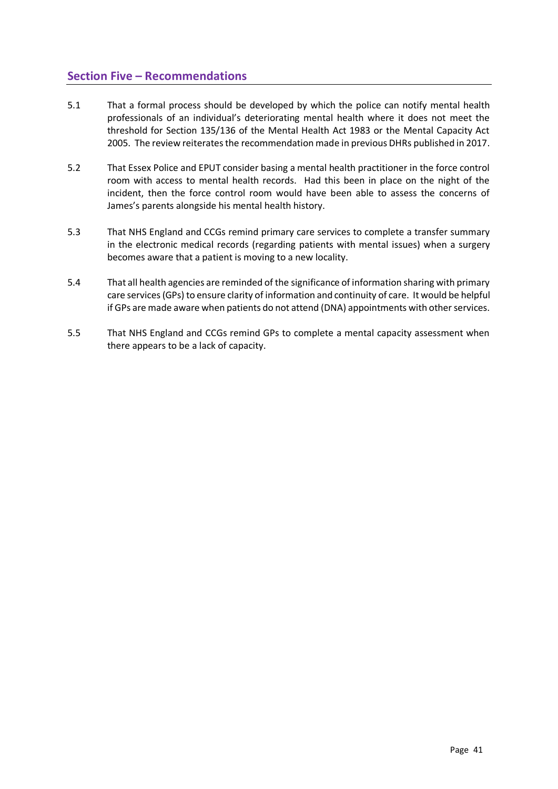### **Section Five – Recommendations**

- 5.1 That a formal process should be developed by which the police can notify mental health professionals of an individual's deteriorating mental health where it does not meet the threshold for Section 135/136 of the Mental Health Act 1983 or the Mental Capacity Act 2005. The review reiterates the recommendation made in previous DHRs published in 2017.
- 5.2 That Essex Police and EPUT consider basing a mental health practitioner in the force control room with access to mental health records. Had this been in place on the night of the incident, then the force control room would have been able to assess the concerns of James's parents alongside his mental health history.
- 5.3 That NHS England and CCGs remind primary care services to complete a transfer summary in the electronic medical records (regarding patients with mental issues) when a surgery becomes aware that a patient is moving to a new locality.
- 5.4 That all health agencies are reminded of the significance of information sharing with primary care services (GPs) to ensure clarity of information and continuity of care. It would be helpful if GPs are made aware when patients do not attend (DNA) appointments with other services.
- 5.5 That NHS England and CCGs remind GPs to complete a mental capacity assessment when there appears to be a lack of capacity.